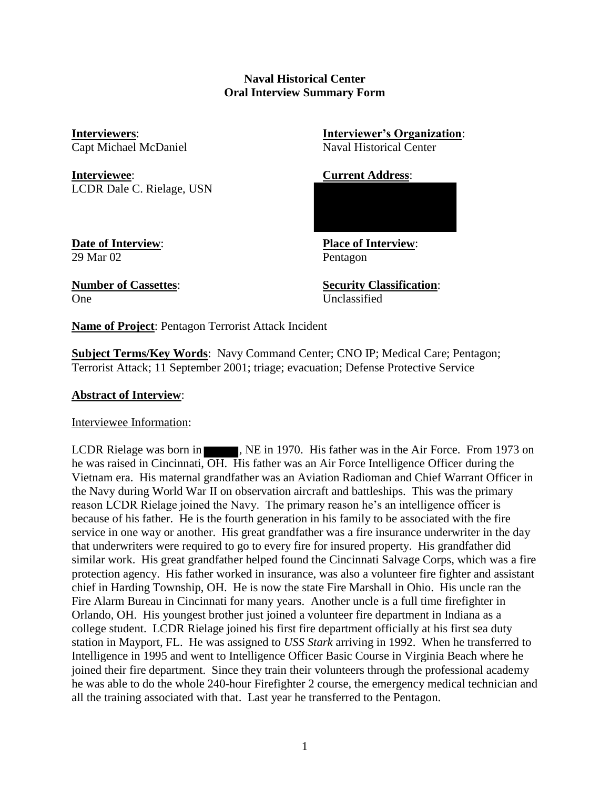# **Naval Historical Center Oral Interview Summary Form**

**Interviewee**: **Current Address**: LCDR Dale C. Rielage, USN

**Interviewers**: **Interviewer's Organization**: Capt Michael McDaniel Naval Historical Center

29 Mar 02 Pentagon

**Date of Interview**: **Place of Interview**:

One Unclassified

**Number of Cassettes**: **Security Classification**:

**Name of Project**: Pentagon Terrorist Attack Incident

**Subject Terms/Key Words**: Navy Command Center; CNO IP; Medical Care; Pentagon; Terrorist Attack; 11 September 2001; triage; evacuation; Defense Protective Service

# **Abstract of Interview**:

Interviewee Information:

LCDR Rielage was born in **1993**, NE in 1970. His father was in the Air Force. From 1973 on he was raised in Cincinnati, OH. His father was an Air Force Intelligence Officer during the Vietnam era. His maternal grandfather was an Aviation Radioman and Chief Warrant Officer in the Navy during World War II on observation aircraft and battleships. This was the primary reason LCDR Rielage joined the Navy. The primary reason he's an intelligence officer is because of his father. He is the fourth generation in his family to be associated with the fire service in one way or another. His great grandfather was a fire insurance underwriter in the day that underwriters were required to go to every fire for insured property. His grandfather did similar work. His great grandfather helped found the Cincinnati Salvage Corps, which was a fire protection agency. His father worked in insurance, was also a volunteer fire fighter and assistant chief in Harding Township, OH. He is now the state Fire Marshall in Ohio. His uncle ran the Fire Alarm Bureau in Cincinnati for many years. Another uncle is a full time firefighter in Orlando, OH. His youngest brother just joined a volunteer fire department in Indiana as a college student. LCDR Rielage joined his first fire department officially at his first sea duty station in Mayport, FL. He was assigned to *USS Stark* arriving in 1992. When he transferred to Intelligence in 1995 and went to Intelligence Officer Basic Course in Virginia Beach where he joined their fire department. Since they train their volunteers through the professional academy he was able to do the whole 240-hour Firefighter 2 course, the emergency medical technician and all the training associated with that. Last year he transferred to the Pentagon.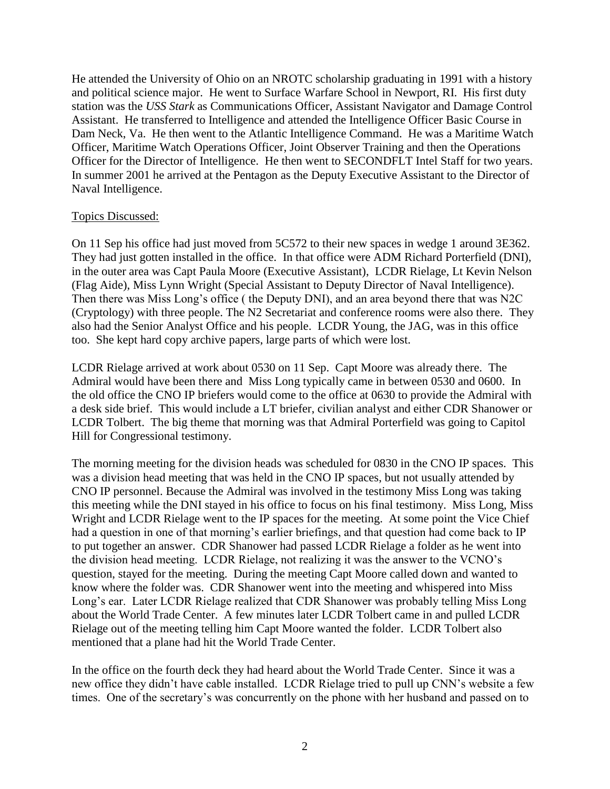He attended the University of Ohio on an NROTC scholarship graduating in 1991 with a history and political science major. He went to Surface Warfare School in Newport, RI. His first duty station was the *USS Stark* as Communications Officer, Assistant Navigator and Damage Control Assistant. He transferred to Intelligence and attended the Intelligence Officer Basic Course in Dam Neck, Va. He then went to the Atlantic Intelligence Command. He was a Maritime Watch Officer, Maritime Watch Operations Officer, Joint Observer Training and then the Operations Officer for the Director of Intelligence. He then went to SECONDFLT Intel Staff for two years. In summer 2001 he arrived at the Pentagon as the Deputy Executive Assistant to the Director of Naval Intelligence.

## Topics Discussed:

On 11 Sep his office had just moved from 5C572 to their new spaces in wedge 1 around 3E362. They had just gotten installed in the office. In that office were ADM Richard Porterfield (DNI), in the outer area was Capt Paula Moore (Executive Assistant), LCDR Rielage, Lt Kevin Nelson (Flag Aide), Miss Lynn Wright (Special Assistant to Deputy Director of Naval Intelligence). Then there was Miss Long's office ( the Deputy DNI), and an area beyond there that was N2C (Cryptology) with three people. The N2 Secretariat and conference rooms were also there. They also had the Senior Analyst Office and his people. LCDR Young, the JAG, was in this office too. She kept hard copy archive papers, large parts of which were lost.

LCDR Rielage arrived at work about 0530 on 11 Sep. Capt Moore was already there. The Admiral would have been there and Miss Long typically came in between 0530 and 0600. In the old office the CNO IP briefers would come to the office at 0630 to provide the Admiral with a desk side brief. This would include a LT briefer, civilian analyst and either CDR Shanower or LCDR Tolbert. The big theme that morning was that Admiral Porterfield was going to Capitol Hill for Congressional testimony.

The morning meeting for the division heads was scheduled for 0830 in the CNO IP spaces. This was a division head meeting that was held in the CNO IP spaces, but not usually attended by CNO IP personnel. Because the Admiral was involved in the testimony Miss Long was taking this meeting while the DNI stayed in his office to focus on his final testimony. Miss Long, Miss Wright and LCDR Rielage went to the IP spaces for the meeting. At some point the Vice Chief had a question in one of that morning's earlier briefings, and that question had come back to IP to put together an answer. CDR Shanower had passed LCDR Rielage a folder as he went into the division head meeting. LCDR Rielage, not realizing it was the answer to the VCNO's question, stayed for the meeting. During the meeting Capt Moore called down and wanted to know where the folder was. CDR Shanower went into the meeting and whispered into Miss Long's ear. Later LCDR Rielage realized that CDR Shanower was probably telling Miss Long about the World Trade Center. A few minutes later LCDR Tolbert came in and pulled LCDR Rielage out of the meeting telling him Capt Moore wanted the folder. LCDR Tolbert also mentioned that a plane had hit the World Trade Center.

In the office on the fourth deck they had heard about the World Trade Center. Since it was a new office they didn't have cable installed. LCDR Rielage tried to pull up CNN's website a few times. One of the secretary's was concurrently on the phone with her husband and passed on to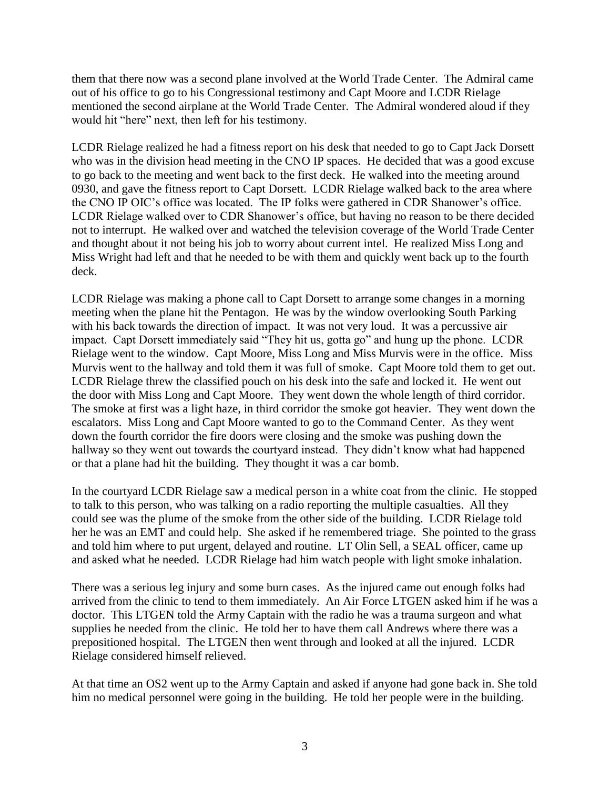them that there now was a second plane involved at the World Trade Center. The Admiral came out of his office to go to his Congressional testimony and Capt Moore and LCDR Rielage mentioned the second airplane at the World Trade Center. The Admiral wondered aloud if they would hit "here" next, then left for his testimony.

LCDR Rielage realized he had a fitness report on his desk that needed to go to Capt Jack Dorsett who was in the division head meeting in the CNO IP spaces. He decided that was a good excuse to go back to the meeting and went back to the first deck. He walked into the meeting around 0930, and gave the fitness report to Capt Dorsett. LCDR Rielage walked back to the area where the CNO IP OIC's office was located. The IP folks were gathered in CDR Shanower's office. LCDR Rielage walked over to CDR Shanower's office, but having no reason to be there decided not to interrupt. He walked over and watched the television coverage of the World Trade Center and thought about it not being his job to worry about current intel. He realized Miss Long and Miss Wright had left and that he needed to be with them and quickly went back up to the fourth deck.

LCDR Rielage was making a phone call to Capt Dorsett to arrange some changes in a morning meeting when the plane hit the Pentagon. He was by the window overlooking South Parking with his back towards the direction of impact. It was not very loud. It was a percussive air impact. Capt Dorsett immediately said "They hit us, gotta go" and hung up the phone. LCDR Rielage went to the window. Capt Moore, Miss Long and Miss Murvis were in the office. Miss Murvis went to the hallway and told them it was full of smoke. Capt Moore told them to get out. LCDR Rielage threw the classified pouch on his desk into the safe and locked it. He went out the door with Miss Long and Capt Moore. They went down the whole length of third corridor. The smoke at first was a light haze, in third corridor the smoke got heavier. They went down the escalators. Miss Long and Capt Moore wanted to go to the Command Center. As they went down the fourth corridor the fire doors were closing and the smoke was pushing down the hallway so they went out towards the courtyard instead. They didn't know what had happened or that a plane had hit the building. They thought it was a car bomb.

In the courtyard LCDR Rielage saw a medical person in a white coat from the clinic. He stopped to talk to this person, who was talking on a radio reporting the multiple casualties. All they could see was the plume of the smoke from the other side of the building. LCDR Rielage told her he was an EMT and could help. She asked if he remembered triage. She pointed to the grass and told him where to put urgent, delayed and routine. LT Olin Sell, a SEAL officer, came up and asked what he needed. LCDR Rielage had him watch people with light smoke inhalation.

There was a serious leg injury and some burn cases. As the injured came out enough folks had arrived from the clinic to tend to them immediately. An Air Force LTGEN asked him if he was a doctor. This LTGEN told the Army Captain with the radio he was a trauma surgeon and what supplies he needed from the clinic. He told her to have them call Andrews where there was a prepositioned hospital. The LTGEN then went through and looked at all the injured. LCDR Rielage considered himself relieved.

At that time an OS2 went up to the Army Captain and asked if anyone had gone back in. She told him no medical personnel were going in the building. He told her people were in the building.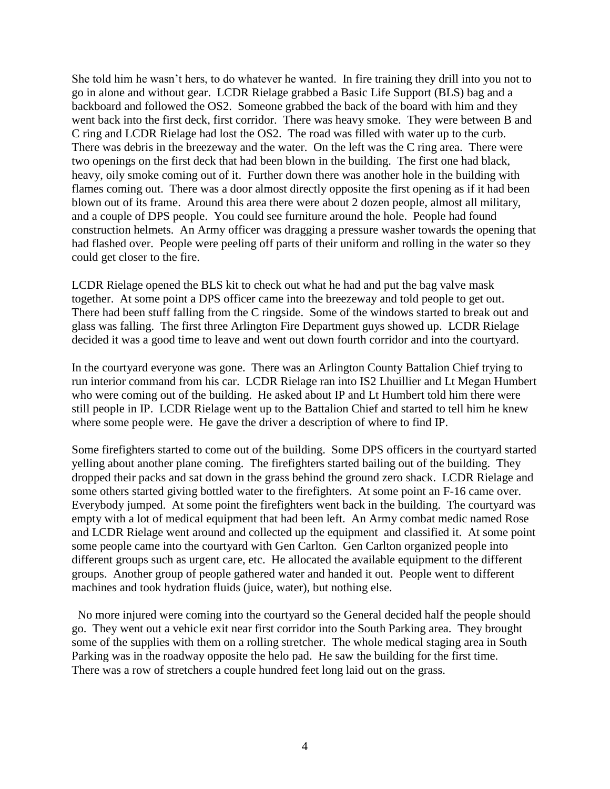She told him he wasn't hers, to do whatever he wanted. In fire training they drill into you not to go in alone and without gear. LCDR Rielage grabbed a Basic Life Support (BLS) bag and a backboard and followed the OS2. Someone grabbed the back of the board with him and they went back into the first deck, first corridor. There was heavy smoke. They were between B and C ring and LCDR Rielage had lost the OS2. The road was filled with water up to the curb. There was debris in the breezeway and the water. On the left was the C ring area. There were two openings on the first deck that had been blown in the building. The first one had black, heavy, oily smoke coming out of it. Further down there was another hole in the building with flames coming out. There was a door almost directly opposite the first opening as if it had been blown out of its frame. Around this area there were about 2 dozen people, almost all military, and a couple of DPS people. You could see furniture around the hole. People had found construction helmets. An Army officer was dragging a pressure washer towards the opening that had flashed over. People were peeling off parts of their uniform and rolling in the water so they could get closer to the fire.

LCDR Rielage opened the BLS kit to check out what he had and put the bag valve mask together. At some point a DPS officer came into the breezeway and told people to get out. There had been stuff falling from the C ringside. Some of the windows started to break out and glass was falling. The first three Arlington Fire Department guys showed up. LCDR Rielage decided it was a good time to leave and went out down fourth corridor and into the courtyard.

In the courtyard everyone was gone. There was an Arlington County Battalion Chief trying to run interior command from his car. LCDR Rielage ran into IS2 Lhuillier and Lt Megan Humbert who were coming out of the building. He asked about IP and Lt Humbert told him there were still people in IP. LCDR Rielage went up to the Battalion Chief and started to tell him he knew where some people were. He gave the driver a description of where to find IP.

Some firefighters started to come out of the building. Some DPS officers in the courtyard started yelling about another plane coming. The firefighters started bailing out of the building. They dropped their packs and sat down in the grass behind the ground zero shack. LCDR Rielage and some others started giving bottled water to the firefighters. At some point an F-16 came over. Everybody jumped. At some point the firefighters went back in the building. The courtyard was empty with a lot of medical equipment that had been left. An Army combat medic named Rose and LCDR Rielage went around and collected up the equipment and classified it. At some point some people came into the courtyard with Gen Carlton. Gen Carlton organized people into different groups such as urgent care, etc. He allocated the available equipment to the different groups. Another group of people gathered water and handed it out. People went to different machines and took hydration fluids (juice, water), but nothing else.

 No more injured were coming into the courtyard so the General decided half the people should go. They went out a vehicle exit near first corridor into the South Parking area. They brought some of the supplies with them on a rolling stretcher. The whole medical staging area in South Parking was in the roadway opposite the helo pad. He saw the building for the first time. There was a row of stretchers a couple hundred feet long laid out on the grass.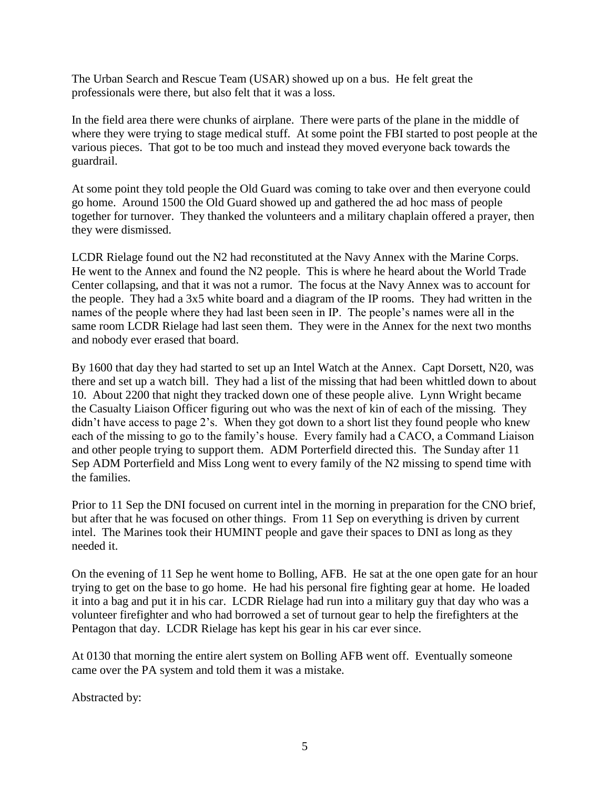The Urban Search and Rescue Team (USAR) showed up on a bus. He felt great the professionals were there, but also felt that it was a loss.

In the field area there were chunks of airplane. There were parts of the plane in the middle of where they were trying to stage medical stuff. At some point the FBI started to post people at the various pieces. That got to be too much and instead they moved everyone back towards the guardrail.

At some point they told people the Old Guard was coming to take over and then everyone could go home. Around 1500 the Old Guard showed up and gathered the ad hoc mass of people together for turnover. They thanked the volunteers and a military chaplain offered a prayer, then they were dismissed.

LCDR Rielage found out the N2 had reconstituted at the Navy Annex with the Marine Corps. He went to the Annex and found the N2 people. This is where he heard about the World Trade Center collapsing, and that it was not a rumor. The focus at the Navy Annex was to account for the people. They had a 3x5 white board and a diagram of the IP rooms. They had written in the names of the people where they had last been seen in IP. The people's names were all in the same room LCDR Rielage had last seen them. They were in the Annex for the next two months and nobody ever erased that board.

By 1600 that day they had started to set up an Intel Watch at the Annex. Capt Dorsett, N20, was there and set up a watch bill. They had a list of the missing that had been whittled down to about 10. About 2200 that night they tracked down one of these people alive. Lynn Wright became the Casualty Liaison Officer figuring out who was the next of kin of each of the missing. They didn't have access to page 2's. When they got down to a short list they found people who knew each of the missing to go to the family's house. Every family had a CACO, a Command Liaison and other people trying to support them. ADM Porterfield directed this. The Sunday after 11 Sep ADM Porterfield and Miss Long went to every family of the N2 missing to spend time with the families.

Prior to 11 Sep the DNI focused on current intel in the morning in preparation for the CNO brief, but after that he was focused on other things. From 11 Sep on everything is driven by current intel. The Marines took their HUMINT people and gave their spaces to DNI as long as they needed it.

On the evening of 11 Sep he went home to Bolling, AFB. He sat at the one open gate for an hour trying to get on the base to go home. He had his personal fire fighting gear at home. He loaded it into a bag and put it in his car. LCDR Rielage had run into a military guy that day who was a volunteer firefighter and who had borrowed a set of turnout gear to help the firefighters at the Pentagon that day. LCDR Rielage has kept his gear in his car ever since.

At 0130 that morning the entire alert system on Bolling AFB went off. Eventually someone came over the PA system and told them it was a mistake.

Abstracted by: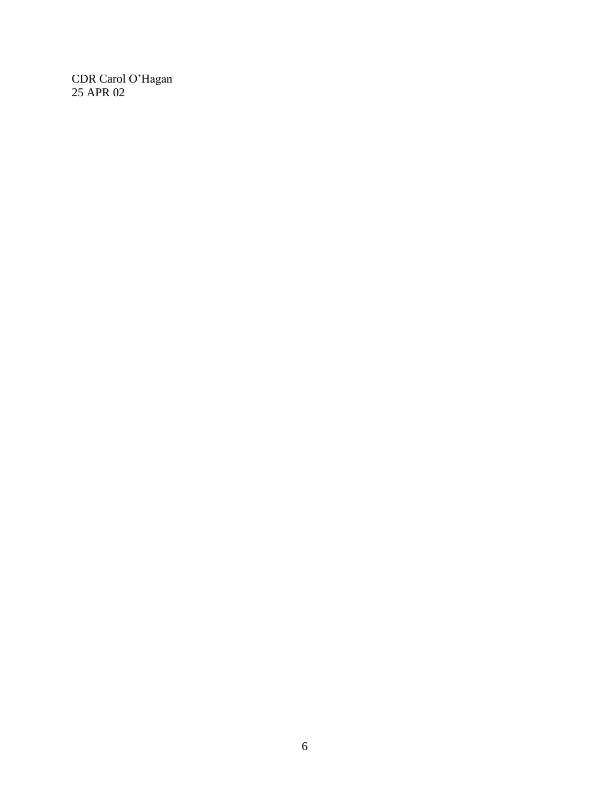CDR Carol O'Hagan 25 APR 02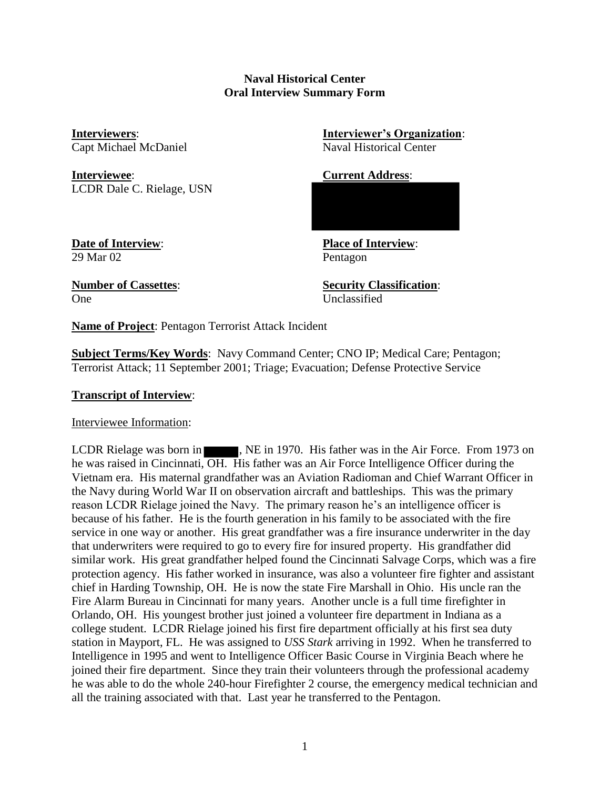# **Naval Historical Center Oral Interview Summary Form**

**Interviewee**: **Current Address**: LCDR Dale C. Rielage, USN

**Interviewers**: **Interviewer's Organization**: Capt Michael McDaniel Naval Historical Center

29 Mar 02 Pentagon

**Date of Interview**: **Place of Interview**:

One Unclassified

**Number of Cassettes**: **Security Classification**:

**Name of Project**: Pentagon Terrorist Attack Incident

**Subject Terms/Key Words**: Navy Command Center; CNO IP; Medical Care; Pentagon; Terrorist Attack; 11 September 2001; Triage; Evacuation; Defense Protective Service

# **Transcript of Interview**:

## Interviewee Information:

LCDR Rielage was born in **1971**, NE in 1970. His father was in the Air Force. From 1973 on he was raised in Cincinnati, OH. His father was an Air Force Intelligence Officer during the Vietnam era. His maternal grandfather was an Aviation Radioman and Chief Warrant Officer in the Navy during World War II on observation aircraft and battleships. This was the primary reason LCDR Rielage joined the Navy. The primary reason he's an intelligence officer is because of his father. He is the fourth generation in his family to be associated with the fire service in one way or another. His great grandfather was a fire insurance underwriter in the day that underwriters were required to go to every fire for insured property. His grandfather did similar work. His great grandfather helped found the Cincinnati Salvage Corps, which was a fire protection agency. His father worked in insurance, was also a volunteer fire fighter and assistant chief in Harding Township, OH. He is now the state Fire Marshall in Ohio. His uncle ran the Fire Alarm Bureau in Cincinnati for many years. Another uncle is a full time firefighter in Orlando, OH. His youngest brother just joined a volunteer fire department in Indiana as a college student. LCDR Rielage joined his first fire department officially at his first sea duty station in Mayport, FL. He was assigned to *USS Stark* arriving in 1992. When he transferred to Intelligence in 1995 and went to Intelligence Officer Basic Course in Virginia Beach where he joined their fire department. Since they train their volunteers through the professional academy he was able to do the whole 240-hour Firefighter 2 course, the emergency medical technician and all the training associated with that. Last year he transferred to the Pentagon.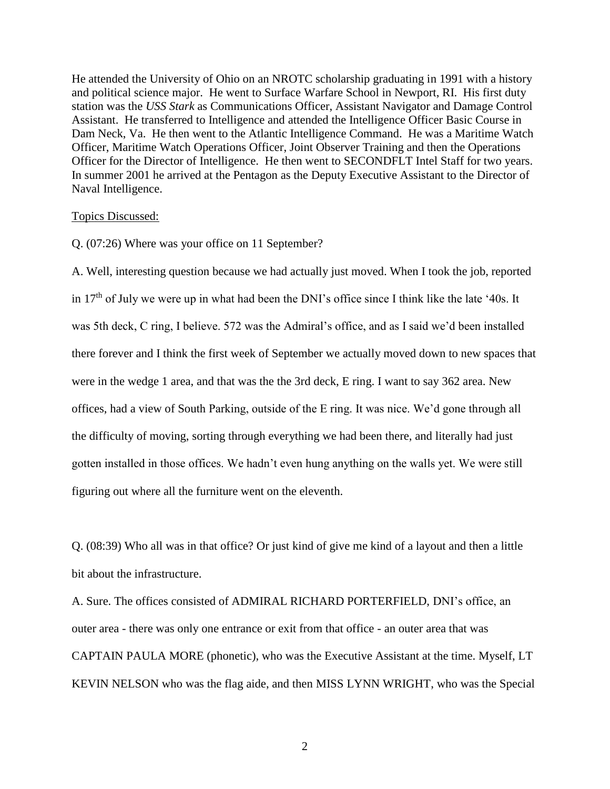He attended the University of Ohio on an NROTC scholarship graduating in 1991 with a history and political science major. He went to Surface Warfare School in Newport, RI. His first duty station was the *USS Stark* as Communications Officer, Assistant Navigator and Damage Control Assistant. He transferred to Intelligence and attended the Intelligence Officer Basic Course in Dam Neck, Va. He then went to the Atlantic Intelligence Command. He was a Maritime Watch Officer, Maritime Watch Operations Officer, Joint Observer Training and then the Operations Officer for the Director of Intelligence. He then went to SECONDFLT Intel Staff for two years. In summer 2001 he arrived at the Pentagon as the Deputy Executive Assistant to the Director of Naval Intelligence.

#### Topics Discussed:

Q. (07:26) Where was your office on 11 September?

A. Well, interesting question because we had actually just moved. When I took the job, reported in 17<sup>th</sup> of July we were up in what had been the DNI's office since I think like the late '40s. It was 5th deck, C ring, I believe. 572 was the Admiral's office, and as I said we'd been installed there forever and I think the first week of September we actually moved down to new spaces that were in the wedge 1 area, and that was the the 3rd deck, E ring. I want to say 362 area. New offices, had a view of South Parking, outside of the E ring. It was nice. We'd gone through all the difficulty of moving, sorting through everything we had been there, and literally had just gotten installed in those offices. We hadn't even hung anything on the walls yet. We were still figuring out where all the furniture went on the eleventh.

Q. (08:39) Who all was in that office? Or just kind of give me kind of a layout and then a little bit about the infrastructure.

A. Sure. The offices consisted of ADMIRAL RICHARD PORTERFIELD, DNI's office, an outer area - there was only one entrance or exit from that office - an outer area that was CAPTAIN PAULA MORE (phonetic), who was the Executive Assistant at the time. Myself, LT KEVIN NELSON who was the flag aide, and then MISS LYNN WRIGHT, who was the Special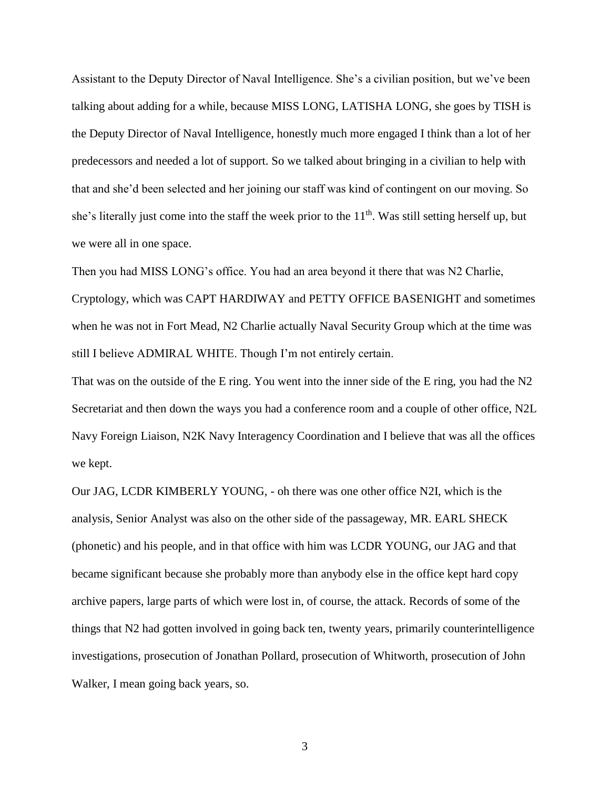Assistant to the Deputy Director of Naval Intelligence. She's a civilian position, but we've been talking about adding for a while, because MISS LONG, LATISHA LONG, she goes by TISH is the Deputy Director of Naval Intelligence, honestly much more engaged I think than a lot of her predecessors and needed a lot of support. So we talked about bringing in a civilian to help with that and she'd been selected and her joining our staff was kind of contingent on our moving. So she's literally just come into the staff the week prior to the  $11<sup>th</sup>$ . Was still setting herself up, but we were all in one space.

Then you had MISS LONG's office. You had an area beyond it there that was N2 Charlie, Cryptology, which was CAPT HARDIWAY and PETTY OFFICE BASENIGHT and sometimes when he was not in Fort Mead, N2 Charlie actually Naval Security Group which at the time was still I believe ADMIRAL WHITE. Though I'm not entirely certain.

That was on the outside of the E ring. You went into the inner side of the E ring, you had the N2 Secretariat and then down the ways you had a conference room and a couple of other office, N2L Navy Foreign Liaison, N2K Navy Interagency Coordination and I believe that was all the offices we kept.

Our JAG, LCDR KIMBERLY YOUNG, - oh there was one other office N2I, which is the analysis, Senior Analyst was also on the other side of the passageway, MR. EARL SHECK (phonetic) and his people, and in that office with him was LCDR YOUNG, our JAG and that became significant because she probably more than anybody else in the office kept hard copy archive papers, large parts of which were lost in, of course, the attack. Records of some of the things that N2 had gotten involved in going back ten, twenty years, primarily counterintelligence investigations, prosecution of Jonathan Pollard, prosecution of Whitworth, prosecution of John Walker, I mean going back years, so.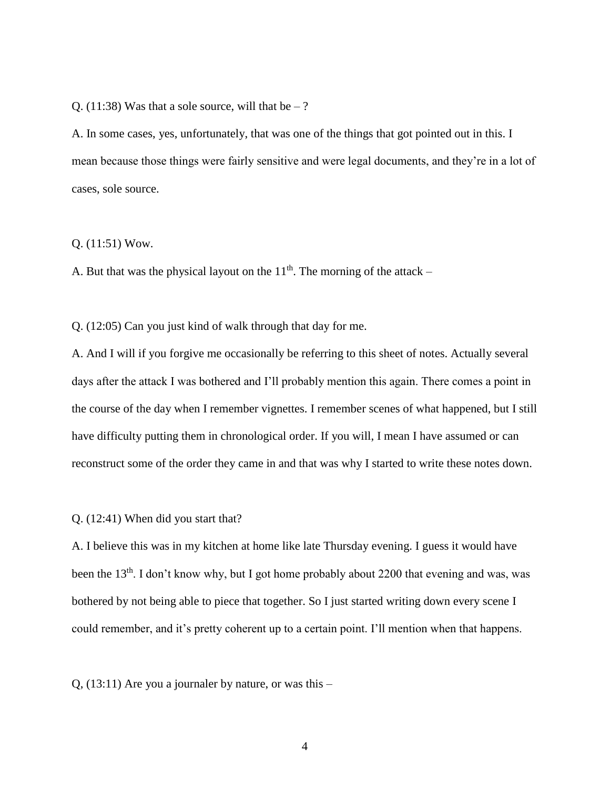O. (11:38) Was that a sole source, will that be  $-$  ?

A. In some cases, yes, unfortunately, that was one of the things that got pointed out in this. I mean because those things were fairly sensitive and were legal documents, and they're in a lot of cases, sole source.

## Q. (11:51) Wow.

A. But that was the physical layout on the  $11<sup>th</sup>$ . The morning of the attack –

Q. (12:05) Can you just kind of walk through that day for me.

A. And I will if you forgive me occasionally be referring to this sheet of notes. Actually several days after the attack I was bothered and I'll probably mention this again. There comes a point in the course of the day when I remember vignettes. I remember scenes of what happened, but I still have difficulty putting them in chronological order. If you will, I mean I have assumed or can reconstruct some of the order they came in and that was why I started to write these notes down.

## Q. (12:41) When did you start that?

A. I believe this was in my kitchen at home like late Thursday evening. I guess it would have been the 13<sup>th</sup>. I don't know why, but I got home probably about 2200 that evening and was, was bothered by not being able to piece that together. So I just started writing down every scene I could remember, and it's pretty coherent up to a certain point. I'll mention when that happens.

 $Q$ , (13:11) Are you a journaler by nature, or was this –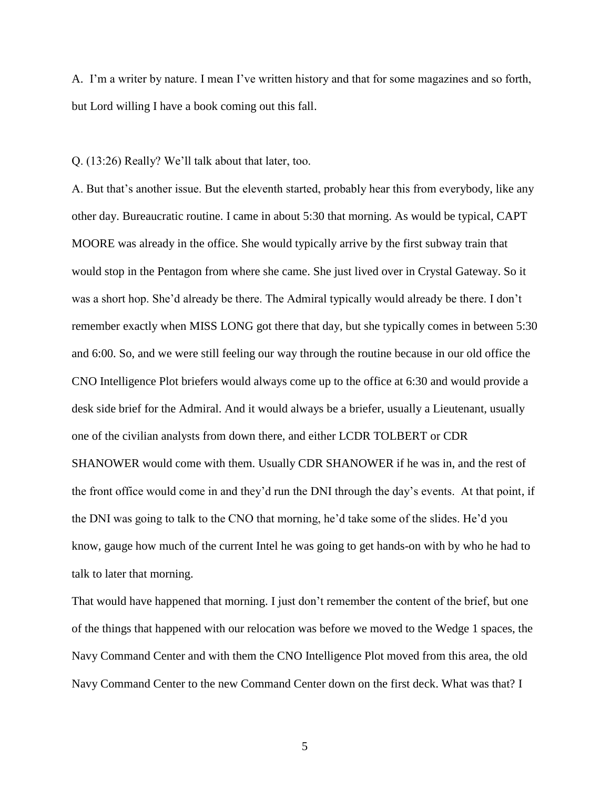A. I'm a writer by nature. I mean I've written history and that for some magazines and so forth, but Lord willing I have a book coming out this fall.

Q. (13:26) Really? We'll talk about that later, too.

A. But that's another issue. But the eleventh started, probably hear this from everybody, like any other day. Bureaucratic routine. I came in about 5:30 that morning. As would be typical, CAPT MOORE was already in the office. She would typically arrive by the first subway train that would stop in the Pentagon from where she came. She just lived over in Crystal Gateway. So it was a short hop. She'd already be there. The Admiral typically would already be there. I don't remember exactly when MISS LONG got there that day, but she typically comes in between 5:30 and 6:00. So, and we were still feeling our way through the routine because in our old office the CNO Intelligence Plot briefers would always come up to the office at 6:30 and would provide a desk side brief for the Admiral. And it would always be a briefer, usually a Lieutenant, usually one of the civilian analysts from down there, and either LCDR TOLBERT or CDR SHANOWER would come with them. Usually CDR SHANOWER if he was in, and the rest of the front office would come in and they'd run the DNI through the day's events. At that point, if the DNI was going to talk to the CNO that morning, he'd take some of the slides. He'd you know, gauge how much of the current Intel he was going to get hands-on with by who he had to talk to later that morning.

That would have happened that morning. I just don't remember the content of the brief, but one of the things that happened with our relocation was before we moved to the Wedge 1 spaces, the Navy Command Center and with them the CNO Intelligence Plot moved from this area, the old Navy Command Center to the new Command Center down on the first deck. What was that? I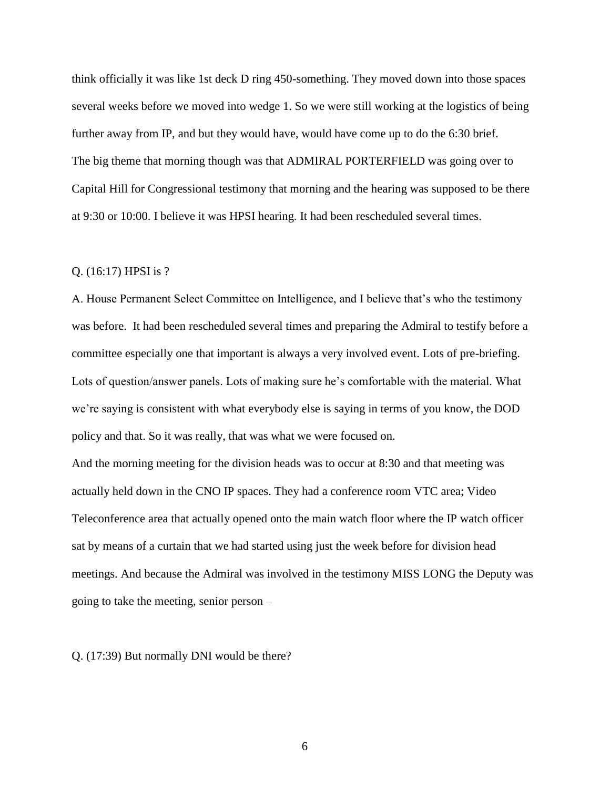think officially it was like 1st deck D ring 450-something. They moved down into those spaces several weeks before we moved into wedge 1. So we were still working at the logistics of being further away from IP, and but they would have, would have come up to do the 6:30 brief. The big theme that morning though was that ADMIRAL PORTERFIELD was going over to Capital Hill for Congressional testimony that morning and the hearing was supposed to be there at 9:30 or 10:00. I believe it was HPSI hearing. It had been rescheduled several times.

## Q. (16:17) HPSI is ?

A. House Permanent Select Committee on Intelligence, and I believe that's who the testimony was before. It had been rescheduled several times and preparing the Admiral to testify before a committee especially one that important is always a very involved event. Lots of pre-briefing. Lots of question/answer panels. Lots of making sure he's comfortable with the material. What we're saying is consistent with what everybody else is saying in terms of you know, the DOD policy and that. So it was really, that was what we were focused on.

And the morning meeting for the division heads was to occur at 8:30 and that meeting was actually held down in the CNO IP spaces. They had a conference room VTC area; Video Teleconference area that actually opened onto the main watch floor where the IP watch officer sat by means of a curtain that we had started using just the week before for division head meetings. And because the Admiral was involved in the testimony MISS LONG the Deputy was going to take the meeting, senior person –

Q. (17:39) But normally DNI would be there?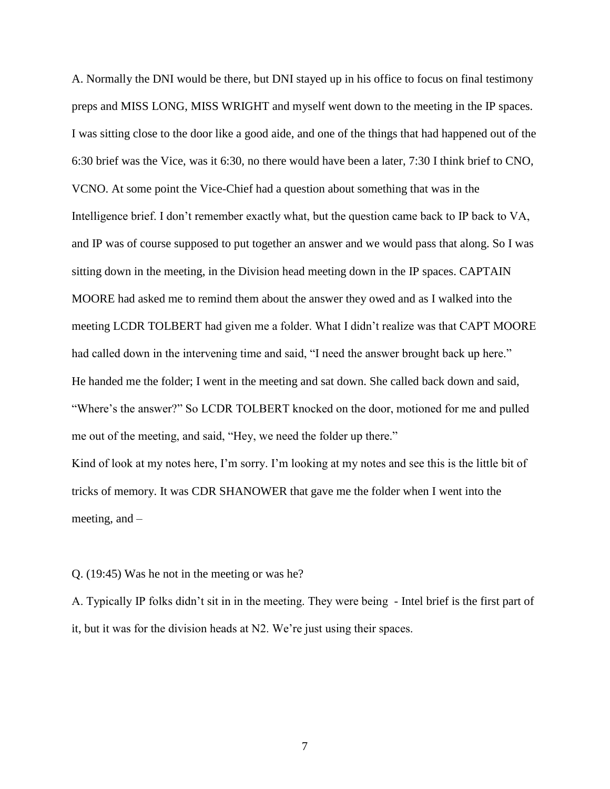A. Normally the DNI would be there, but DNI stayed up in his office to focus on final testimony preps and MISS LONG, MISS WRIGHT and myself went down to the meeting in the IP spaces. I was sitting close to the door like a good aide, and one of the things that had happened out of the 6:30 brief was the Vice, was it 6:30, no there would have been a later, 7:30 I think brief to CNO, VCNO. At some point the Vice-Chief had a question about something that was in the Intelligence brief. I don't remember exactly what, but the question came back to IP back to VA, and IP was of course supposed to put together an answer and we would pass that along. So I was sitting down in the meeting, in the Division head meeting down in the IP spaces. CAPTAIN MOORE had asked me to remind them about the answer they owed and as I walked into the meeting LCDR TOLBERT had given me a folder. What I didn't realize was that CAPT MOORE had called down in the intervening time and said, "I need the answer brought back up here." He handed me the folder; I went in the meeting and sat down. She called back down and said, "Where's the answer?" So LCDR TOLBERT knocked on the door, motioned for me and pulled me out of the meeting, and said, "Hey, we need the folder up there."

Kind of look at my notes here, I'm sorry. I'm looking at my notes and see this is the little bit of tricks of memory. It was CDR SHANOWER that gave me the folder when I went into the meeting, and –

#### Q. (19:45) Was he not in the meeting or was he?

A. Typically IP folks didn't sit in in the meeting. They were being - Intel brief is the first part of it, but it was for the division heads at N2. We're just using their spaces.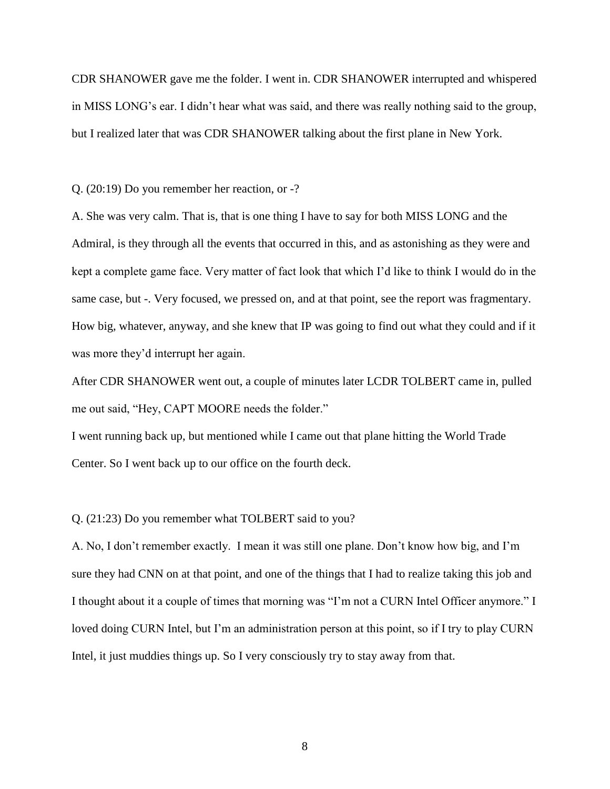CDR SHANOWER gave me the folder. I went in. CDR SHANOWER interrupted and whispered in MISS LONG's ear. I didn't hear what was said, and there was really nothing said to the group, but I realized later that was CDR SHANOWER talking about the first plane in New York.

Q. (20:19) Do you remember her reaction, or -?

A. She was very calm. That is, that is one thing I have to say for both MISS LONG and the Admiral, is they through all the events that occurred in this, and as astonishing as they were and kept a complete game face. Very matter of fact look that which I'd like to think I would do in the same case, but -. Very focused, we pressed on, and at that point, see the report was fragmentary. How big, whatever, anyway, and she knew that IP was going to find out what they could and if it was more they'd interrupt her again.

After CDR SHANOWER went out, a couple of minutes later LCDR TOLBERT came in, pulled me out said, "Hey, CAPT MOORE needs the folder."

I went running back up, but mentioned while I came out that plane hitting the World Trade Center. So I went back up to our office on the fourth deck.

#### Q. (21:23) Do you remember what TOLBERT said to you?

A. No, I don't remember exactly. I mean it was still one plane. Don't know how big, and I'm sure they had CNN on at that point, and one of the things that I had to realize taking this job and I thought about it a couple of times that morning was "I'm not a CURN Intel Officer anymore." I loved doing CURN Intel, but I'm an administration person at this point, so if I try to play CURN Intel, it just muddies things up. So I very consciously try to stay away from that.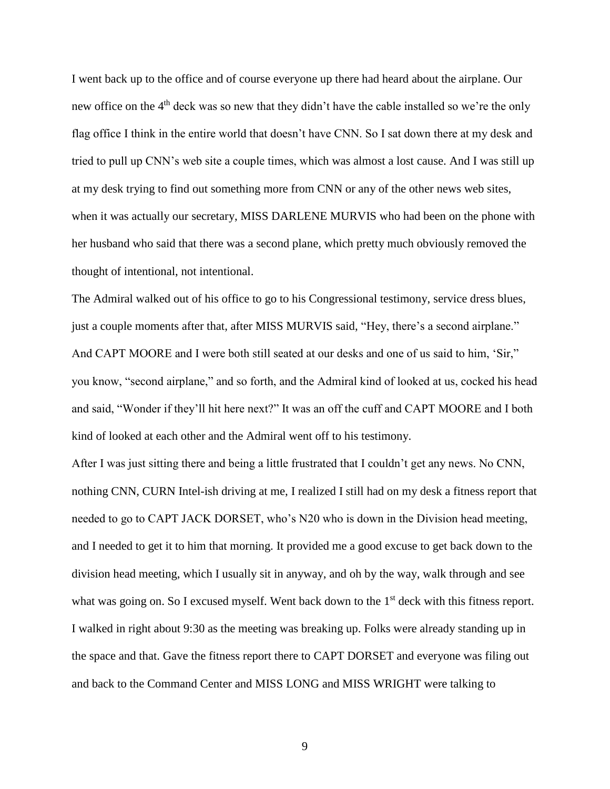I went back up to the office and of course everyone up there had heard about the airplane. Our new office on the 4<sup>th</sup> deck was so new that they didn't have the cable installed so we're the only flag office I think in the entire world that doesn't have CNN. So I sat down there at my desk and tried to pull up CNN's web site a couple times, which was almost a lost cause. And I was still up at my desk trying to find out something more from CNN or any of the other news web sites, when it was actually our secretary, MISS DARLENE MURVIS who had been on the phone with her husband who said that there was a second plane, which pretty much obviously removed the thought of intentional, not intentional.

The Admiral walked out of his office to go to his Congressional testimony, service dress blues, just a couple moments after that, after MISS MURVIS said, "Hey, there's a second airplane." And CAPT MOORE and I were both still seated at our desks and one of us said to him, 'Sir," you know, "second airplane," and so forth, and the Admiral kind of looked at us, cocked his head and said, "Wonder if they'll hit here next?" It was an off the cuff and CAPT MOORE and I both kind of looked at each other and the Admiral went off to his testimony.

After I was just sitting there and being a little frustrated that I couldn't get any news. No CNN, nothing CNN, CURN Intel-ish driving at me, I realized I still had on my desk a fitness report that needed to go to CAPT JACK DORSET, who's N20 who is down in the Division head meeting, and I needed to get it to him that morning. It provided me a good excuse to get back down to the division head meeting, which I usually sit in anyway, and oh by the way, walk through and see what was going on. So I excused myself. Went back down to the 1<sup>st</sup> deck with this fitness report. I walked in right about 9:30 as the meeting was breaking up. Folks were already standing up in the space and that. Gave the fitness report there to CAPT DORSET and everyone was filing out and back to the Command Center and MISS LONG and MISS WRIGHT were talking to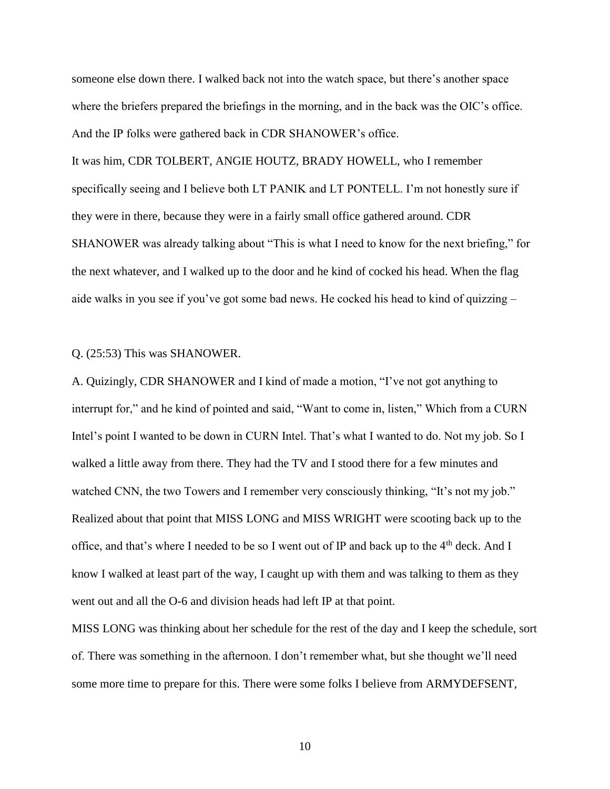someone else down there. I walked back not into the watch space, but there's another space where the briefers prepared the briefings in the morning, and in the back was the OIC's office. And the IP folks were gathered back in CDR SHANOWER's office.

It was him, CDR TOLBERT, ANGIE HOUTZ, BRADY HOWELL, who I remember specifically seeing and I believe both LT PANIK and LT PONTELL. I'm not honestly sure if they were in there, because they were in a fairly small office gathered around. CDR SHANOWER was already talking about "This is what I need to know for the next briefing," for the next whatever, and I walked up to the door and he kind of cocked his head. When the flag aide walks in you see if you've got some bad news. He cocked his head to kind of quizzing –

## Q. (25:53) This was SHANOWER.

A. Quizingly, CDR SHANOWER and I kind of made a motion, "I've not got anything to interrupt for," and he kind of pointed and said, "Want to come in, listen," Which from a CURN Intel's point I wanted to be down in CURN Intel. That's what I wanted to do. Not my job. So I walked a little away from there. They had the TV and I stood there for a few minutes and watched CNN, the two Towers and I remember very consciously thinking, "It's not my job." Realized about that point that MISS LONG and MISS WRIGHT were scooting back up to the office, and that's where I needed to be so I went out of IP and back up to the  $4<sup>th</sup>$  deck. And I know I walked at least part of the way, I caught up with them and was talking to them as they went out and all the O-6 and division heads had left IP at that point.

MISS LONG was thinking about her schedule for the rest of the day and I keep the schedule, sort of. There was something in the afternoon. I don't remember what, but she thought we'll need some more time to prepare for this. There were some folks I believe from ARMYDEFSENT,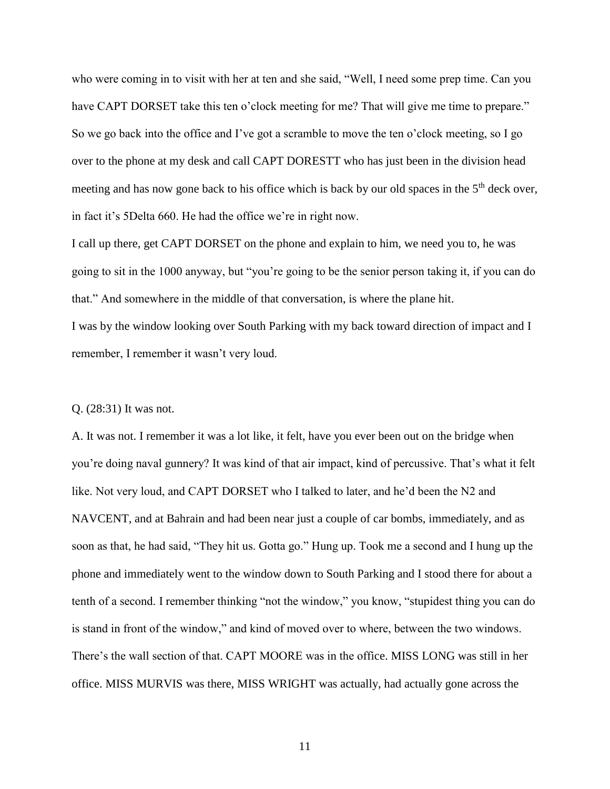who were coming in to visit with her at ten and she said, "Well, I need some prep time. Can you have CAPT DORSET take this ten o'clock meeting for me? That will give me time to prepare." So we go back into the office and I've got a scramble to move the ten o'clock meeting, so I go over to the phone at my desk and call CAPT DORESTT who has just been in the division head meeting and has now gone back to his office which is back by our old spaces in the  $5<sup>th</sup>$  deck over, in fact it's 5Delta 660. He had the office we're in right now.

I call up there, get CAPT DORSET on the phone and explain to him, we need you to, he was going to sit in the 1000 anyway, but "you're going to be the senior person taking it, if you can do that." And somewhere in the middle of that conversation, is where the plane hit.

I was by the window looking over South Parking with my back toward direction of impact and I remember, I remember it wasn't very loud.

#### Q. (28:31) It was not.

A. It was not. I remember it was a lot like, it felt, have you ever been out on the bridge when you're doing naval gunnery? It was kind of that air impact, kind of percussive. That's what it felt like. Not very loud, and CAPT DORSET who I talked to later, and he'd been the N2 and NAVCENT, and at Bahrain and had been near just a couple of car bombs, immediately, and as soon as that, he had said, "They hit us. Gotta go." Hung up. Took me a second and I hung up the phone and immediately went to the window down to South Parking and I stood there for about a tenth of a second. I remember thinking "not the window," you know, "stupidest thing you can do is stand in front of the window," and kind of moved over to where, between the two windows. There's the wall section of that. CAPT MOORE was in the office. MISS LONG was still in her office. MISS MURVIS was there, MISS WRIGHT was actually, had actually gone across the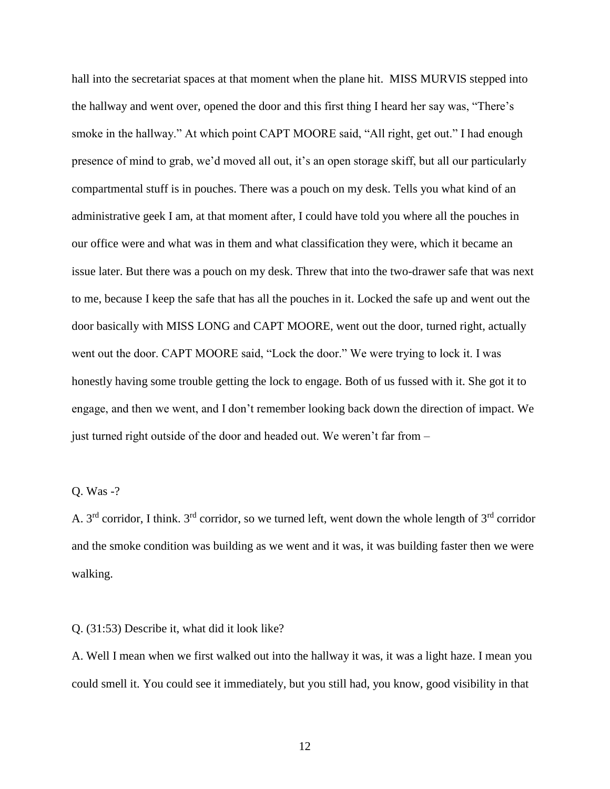hall into the secretariat spaces at that moment when the plane hit. MISS MURVIS stepped into the hallway and went over, opened the door and this first thing I heard her say was, "There's smoke in the hallway." At which point CAPT MOORE said, "All right, get out." I had enough presence of mind to grab, we'd moved all out, it's an open storage skiff, but all our particularly compartmental stuff is in pouches. There was a pouch on my desk. Tells you what kind of an administrative geek I am, at that moment after, I could have told you where all the pouches in our office were and what was in them and what classification they were, which it became an issue later. But there was a pouch on my desk. Threw that into the two-drawer safe that was next to me, because I keep the safe that has all the pouches in it. Locked the safe up and went out the door basically with MISS LONG and CAPT MOORE, went out the door, turned right, actually went out the door. CAPT MOORE said, "Lock the door." We were trying to lock it. I was honestly having some trouble getting the lock to engage. Both of us fussed with it. She got it to engage, and then we went, and I don't remember looking back down the direction of impact. We just turned right outside of the door and headed out. We weren't far from –

## Q. Was -?

A.  $3<sup>rd</sup>$  corridor, I think.  $3<sup>rd</sup>$  corridor, so we turned left, went down the whole length of  $3<sup>rd</sup>$  corridor and the smoke condition was building as we went and it was, it was building faster then we were walking.

#### Q. (31:53) Describe it, what did it look like?

A. Well I mean when we first walked out into the hallway it was, it was a light haze. I mean you could smell it. You could see it immediately, but you still had, you know, good visibility in that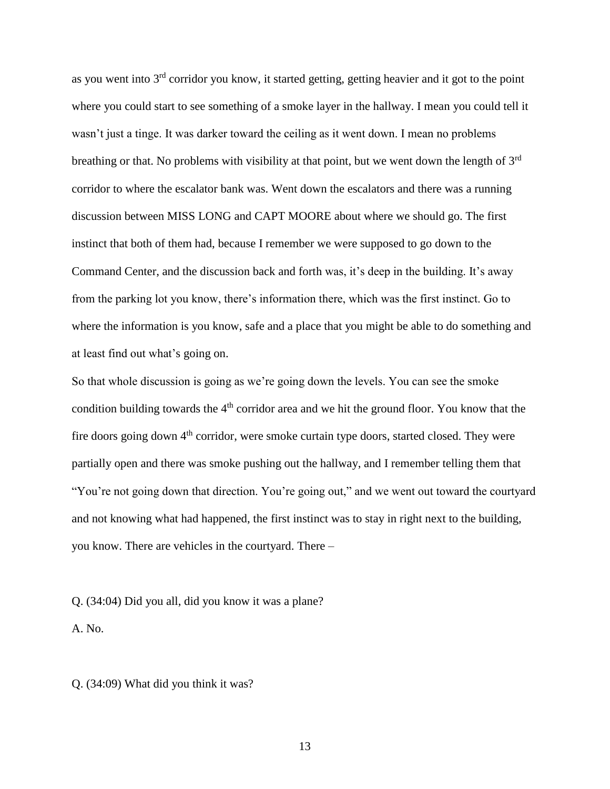as you went into  $3<sup>rd</sup>$  corridor you know, it started getting, getting heavier and it got to the point where you could start to see something of a smoke layer in the hallway. I mean you could tell it wasn't just a tinge. It was darker toward the ceiling as it went down. I mean no problems breathing or that. No problems with visibility at that point, but we went down the length of 3<sup>rd</sup> corridor to where the escalator bank was. Went down the escalators and there was a running discussion between MISS LONG and CAPT MOORE about where we should go. The first instinct that both of them had, because I remember we were supposed to go down to the Command Center, and the discussion back and forth was, it's deep in the building. It's away from the parking lot you know, there's information there, which was the first instinct. Go to where the information is you know, safe and a place that you might be able to do something and at least find out what's going on.

So that whole discussion is going as we're going down the levels. You can see the smoke condition building towards the 4<sup>th</sup> corridor area and we hit the ground floor. You know that the fire doors going down  $4<sup>th</sup>$  corridor, were smoke curtain type doors, started closed. They were partially open and there was smoke pushing out the hallway, and I remember telling them that "You're not going down that direction. You're going out," and we went out toward the courtyard and not knowing what had happened, the first instinct was to stay in right next to the building, you know. There are vehicles in the courtyard. There –

Q. (34:04) Did you all, did you know it was a plane?

A. No.

Q. (34:09) What did you think it was?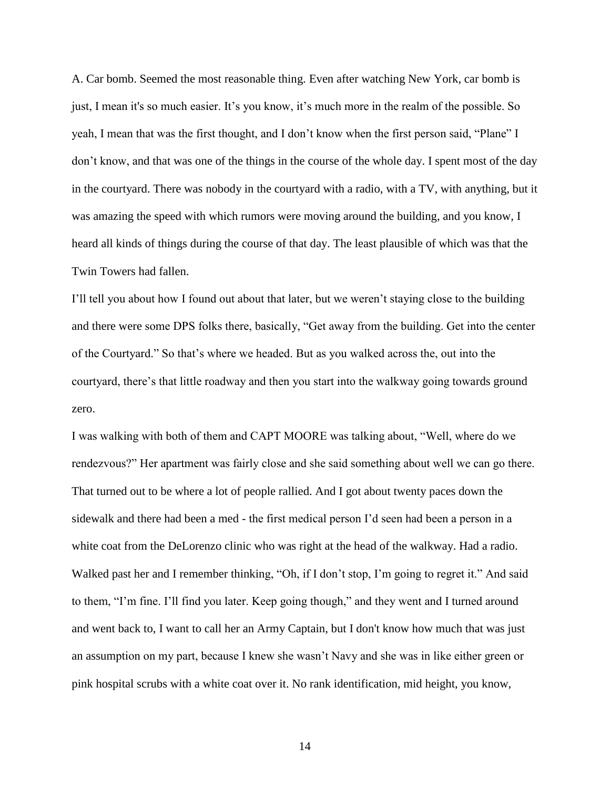A. Car bomb. Seemed the most reasonable thing. Even after watching New York, car bomb is just, I mean it's so much easier. It's you know, it's much more in the realm of the possible. So yeah, I mean that was the first thought, and I don't know when the first person said, "Plane" I don't know, and that was one of the things in the course of the whole day. I spent most of the day in the courtyard. There was nobody in the courtyard with a radio, with a TV, with anything, but it was amazing the speed with which rumors were moving around the building, and you know, I heard all kinds of things during the course of that day. The least plausible of which was that the Twin Towers had fallen.

I'll tell you about how I found out about that later, but we weren't staying close to the building and there were some DPS folks there, basically, "Get away from the building. Get into the center of the Courtyard." So that's where we headed. But as you walked across the, out into the courtyard, there's that little roadway and then you start into the walkway going towards ground zero.

I was walking with both of them and CAPT MOORE was talking about, "Well, where do we rendezvous?" Her apartment was fairly close and she said something about well we can go there. That turned out to be where a lot of people rallied. And I got about twenty paces down the sidewalk and there had been a med - the first medical person I'd seen had been a person in a white coat from the DeLorenzo clinic who was right at the head of the walkway. Had a radio. Walked past her and I remember thinking, "Oh, if I don't stop, I'm going to regret it." And said to them, "I'm fine. I'll find you later. Keep going though," and they went and I turned around and went back to, I want to call her an Army Captain, but I don't know how much that was just an assumption on my part, because I knew she wasn't Navy and she was in like either green or pink hospital scrubs with a white coat over it. No rank identification, mid height, you know,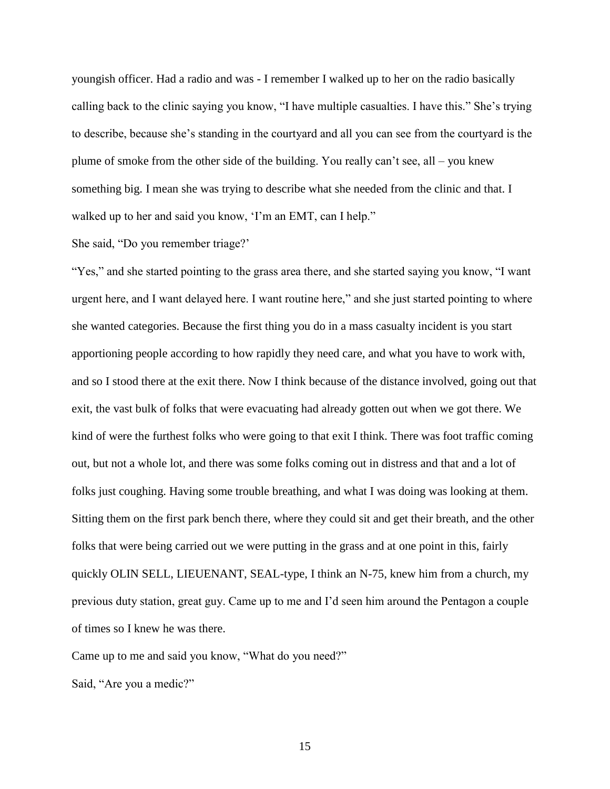youngish officer. Had a radio and was - I remember I walked up to her on the radio basically calling back to the clinic saying you know, "I have multiple casualties. I have this." She's trying to describe, because she's standing in the courtyard and all you can see from the courtyard is the plume of smoke from the other side of the building. You really can't see, all – you knew something big. I mean she was trying to describe what she needed from the clinic and that. I walked up to her and said you know, 'I'm an EMT, can I help."

## She said, "Do you remember triage?'

"Yes," and she started pointing to the grass area there, and she started saying you know, "I want urgent here, and I want delayed here. I want routine here," and she just started pointing to where she wanted categories. Because the first thing you do in a mass casualty incident is you start apportioning people according to how rapidly they need care, and what you have to work with, and so I stood there at the exit there. Now I think because of the distance involved, going out that exit, the vast bulk of folks that were evacuating had already gotten out when we got there. We kind of were the furthest folks who were going to that exit I think. There was foot traffic coming out, but not a whole lot, and there was some folks coming out in distress and that and a lot of folks just coughing. Having some trouble breathing, and what I was doing was looking at them. Sitting them on the first park bench there, where they could sit and get their breath, and the other folks that were being carried out we were putting in the grass and at one point in this, fairly quickly OLIN SELL, LIEUENANT, SEAL-type, I think an N-75, knew him from a church, my previous duty station, great guy. Came up to me and I'd seen him around the Pentagon a couple of times so I knew he was there.

Came up to me and said you know, "What do you need?"

Said, "Are you a medic?"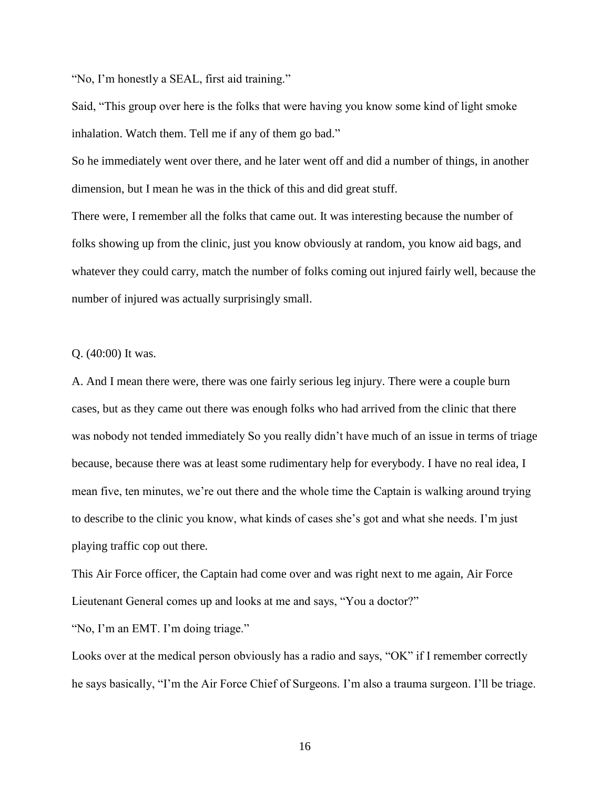"No, I'm honestly a SEAL, first aid training."

Said, "This group over here is the folks that were having you know some kind of light smoke inhalation. Watch them. Tell me if any of them go bad."

So he immediately went over there, and he later went off and did a number of things, in another dimension, but I mean he was in the thick of this and did great stuff.

There were, I remember all the folks that came out. It was interesting because the number of folks showing up from the clinic, just you know obviously at random, you know aid bags, and whatever they could carry, match the number of folks coming out injured fairly well, because the number of injured was actually surprisingly small.

Q. (40:00) It was.

A. And I mean there were, there was one fairly serious leg injury. There were a couple burn cases, but as they came out there was enough folks who had arrived from the clinic that there was nobody not tended immediately So you really didn't have much of an issue in terms of triage because, because there was at least some rudimentary help for everybody. I have no real idea, I mean five, ten minutes, we're out there and the whole time the Captain is walking around trying to describe to the clinic you know, what kinds of cases she's got and what she needs. I'm just playing traffic cop out there.

This Air Force officer, the Captain had come over and was right next to me again, Air Force Lieutenant General comes up and looks at me and says, "You a doctor?"

"No, I'm an EMT. I'm doing triage."

Looks over at the medical person obviously has a radio and says, "OK" if I remember correctly he says basically, "I'm the Air Force Chief of Surgeons. I'm also a trauma surgeon. I'll be triage.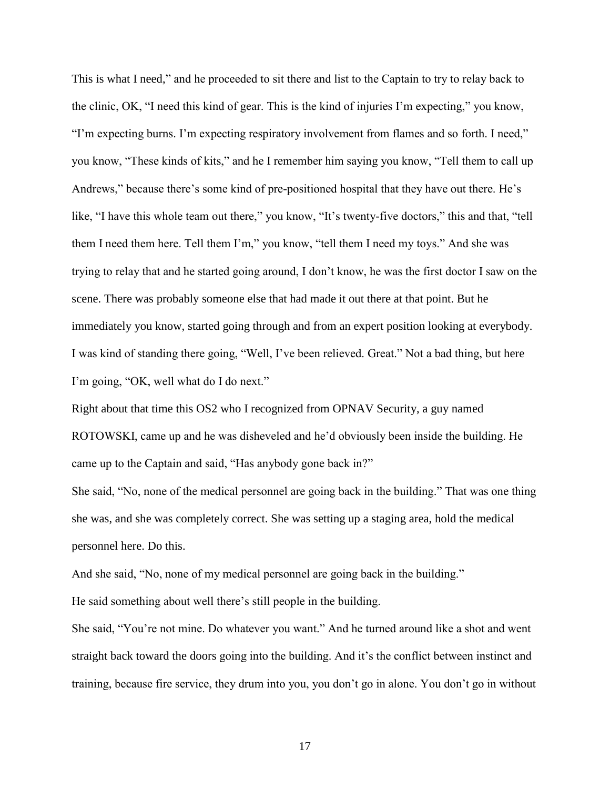This is what I need," and he proceeded to sit there and list to the Captain to try to relay back to the clinic, OK, "I need this kind of gear. This is the kind of injuries I'm expecting," you know, "I'm expecting burns. I'm expecting respiratory involvement from flames and so forth. I need," you know, "These kinds of kits," and he I remember him saying you know, "Tell them to call up Andrews," because there's some kind of pre-positioned hospital that they have out there. He's like, "I have this whole team out there," you know, "It's twenty-five doctors," this and that, "tell them I need them here. Tell them I'm," you know, "tell them I need my toys." And she was trying to relay that and he started going around, I don't know, he was the first doctor I saw on the scene. There was probably someone else that had made it out there at that point. But he immediately you know, started going through and from an expert position looking at everybody. I was kind of standing there going, "Well, I've been relieved. Great." Not a bad thing, but here I'm going, "OK, well what do I do next."

Right about that time this OS2 who I recognized from OPNAV Security, a guy named ROTOWSKI, came up and he was disheveled and he'd obviously been inside the building. He came up to the Captain and said, "Has anybody gone back in?"

She said, "No, none of the medical personnel are going back in the building." That was one thing she was, and she was completely correct. She was setting up a staging area, hold the medical personnel here. Do this.

And she said, "No, none of my medical personnel are going back in the building."

He said something about well there's still people in the building.

She said, "You're not mine. Do whatever you want." And he turned around like a shot and went straight back toward the doors going into the building. And it's the conflict between instinct and training, because fire service, they drum into you, you don't go in alone. You don't go in without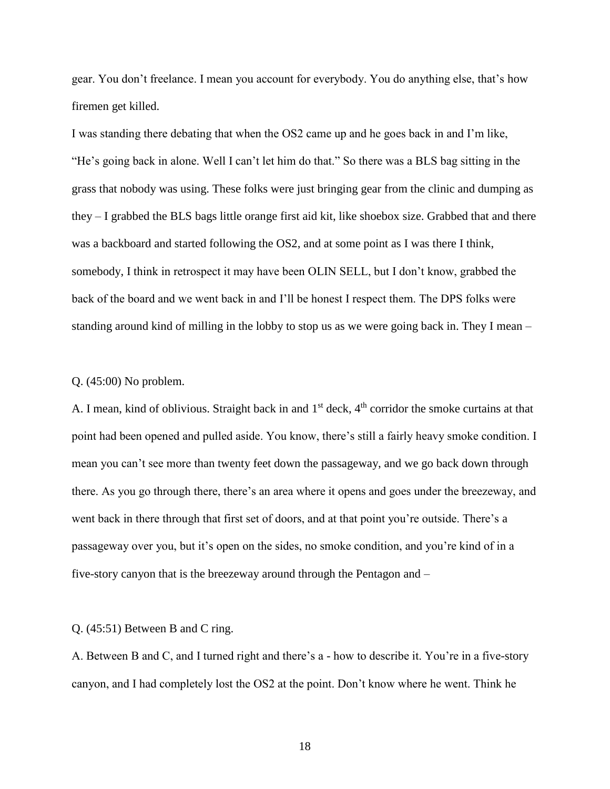gear. You don't freelance. I mean you account for everybody. You do anything else, that's how firemen get killed.

I was standing there debating that when the OS2 came up and he goes back in and I'm like, "He's going back in alone. Well I can't let him do that." So there was a BLS bag sitting in the grass that nobody was using. These folks were just bringing gear from the clinic and dumping as they – I grabbed the BLS bags little orange first aid kit, like shoebox size. Grabbed that and there was a backboard and started following the OS2, and at some point as I was there I think, somebody, I think in retrospect it may have been OLIN SELL, but I don't know, grabbed the back of the board and we went back in and I'll be honest I respect them. The DPS folks were standing around kind of milling in the lobby to stop us as we were going back in. They I mean –

#### Q. (45:00) No problem.

A. I mean, kind of oblivious. Straight back in and 1<sup>st</sup> deck, 4<sup>th</sup> corridor the smoke curtains at that point had been opened and pulled aside. You know, there's still a fairly heavy smoke condition. I mean you can't see more than twenty feet down the passageway, and we go back down through there. As you go through there, there's an area where it opens and goes under the breezeway, and went back in there through that first set of doors, and at that point you're outside. There's a passageway over you, but it's open on the sides, no smoke condition, and you're kind of in a five-story canyon that is the breezeway around through the Pentagon and –

#### Q. (45:51) Between B and C ring.

A. Between B and C, and I turned right and there's a - how to describe it. You're in a five-story canyon, and I had completely lost the OS2 at the point. Don't know where he went. Think he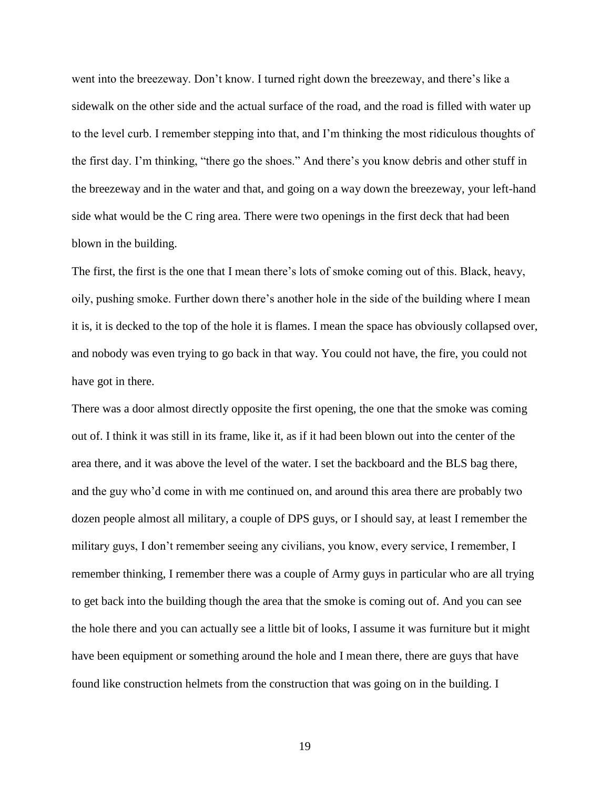went into the breezeway. Don't know. I turned right down the breezeway, and there's like a sidewalk on the other side and the actual surface of the road, and the road is filled with water up to the level curb. I remember stepping into that, and I'm thinking the most ridiculous thoughts of the first day. I'm thinking, "there go the shoes." And there's you know debris and other stuff in the breezeway and in the water and that, and going on a way down the breezeway, your left-hand side what would be the C ring area. There were two openings in the first deck that had been blown in the building.

The first, the first is the one that I mean there's lots of smoke coming out of this. Black, heavy, oily, pushing smoke. Further down there's another hole in the side of the building where I mean it is, it is decked to the top of the hole it is flames. I mean the space has obviously collapsed over, and nobody was even trying to go back in that way. You could not have, the fire, you could not have got in there.

There was a door almost directly opposite the first opening, the one that the smoke was coming out of. I think it was still in its frame, like it, as if it had been blown out into the center of the area there, and it was above the level of the water. I set the backboard and the BLS bag there, and the guy who'd come in with me continued on, and around this area there are probably two dozen people almost all military, a couple of DPS guys, or I should say, at least I remember the military guys, I don't remember seeing any civilians, you know, every service, I remember, I remember thinking, I remember there was a couple of Army guys in particular who are all trying to get back into the building though the area that the smoke is coming out of. And you can see the hole there and you can actually see a little bit of looks, I assume it was furniture but it might have been equipment or something around the hole and I mean there, there are guys that have found like construction helmets from the construction that was going on in the building. I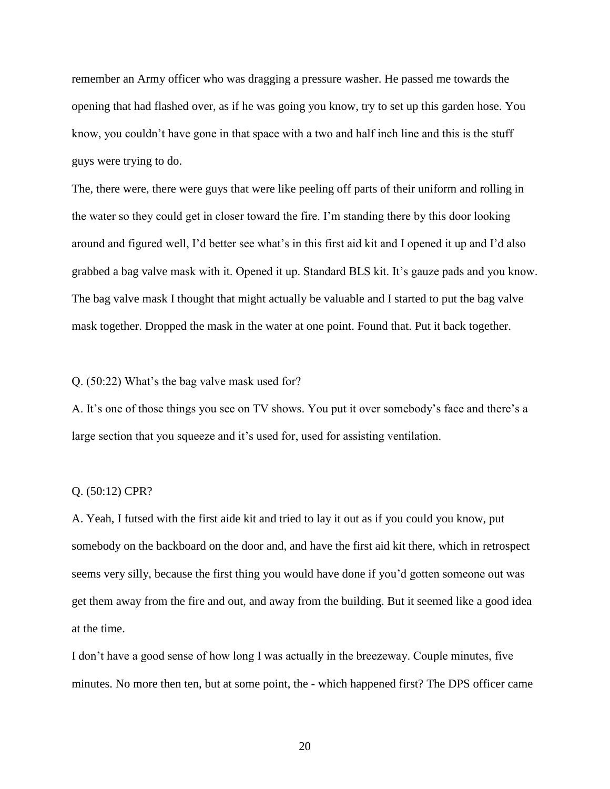remember an Army officer who was dragging a pressure washer. He passed me towards the opening that had flashed over, as if he was going you know, try to set up this garden hose. You know, you couldn't have gone in that space with a two and half inch line and this is the stuff guys were trying to do.

The, there were, there were guys that were like peeling off parts of their uniform and rolling in the water so they could get in closer toward the fire. I'm standing there by this door looking around and figured well, I'd better see what's in this first aid kit and I opened it up and I'd also grabbed a bag valve mask with it. Opened it up. Standard BLS kit. It's gauze pads and you know. The bag valve mask I thought that might actually be valuable and I started to put the bag valve mask together. Dropped the mask in the water at one point. Found that. Put it back together.

#### Q. (50:22) What's the bag valve mask used for?

A. It's one of those things you see on TV shows. You put it over somebody's face and there's a large section that you squeeze and it's used for, used for assisting ventilation.

## Q. (50:12) CPR?

A. Yeah, I futsed with the first aide kit and tried to lay it out as if you could you know, put somebody on the backboard on the door and, and have the first aid kit there, which in retrospect seems very silly, because the first thing you would have done if you'd gotten someone out was get them away from the fire and out, and away from the building. But it seemed like a good idea at the time.

I don't have a good sense of how long I was actually in the breezeway. Couple minutes, five minutes. No more then ten, but at some point, the - which happened first? The DPS officer came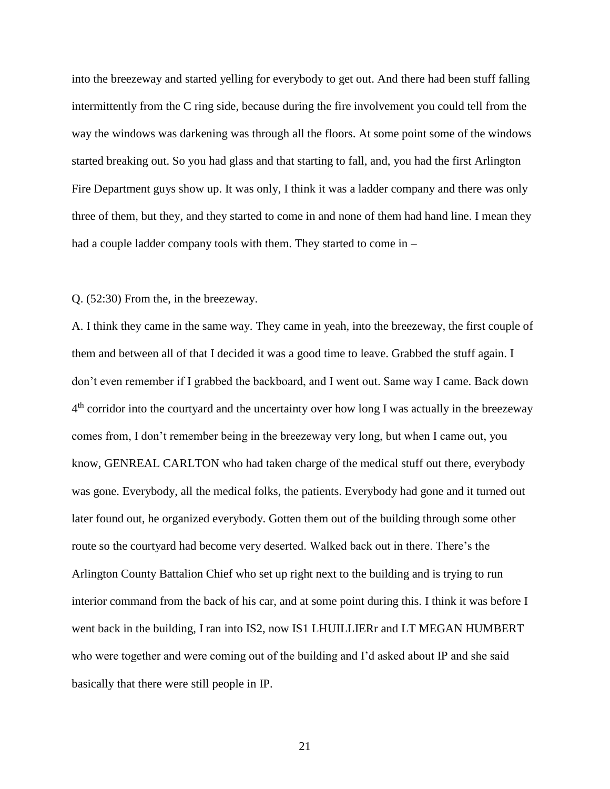into the breezeway and started yelling for everybody to get out. And there had been stuff falling intermittently from the C ring side, because during the fire involvement you could tell from the way the windows was darkening was through all the floors. At some point some of the windows started breaking out. So you had glass and that starting to fall, and, you had the first Arlington Fire Department guys show up. It was only, I think it was a ladder company and there was only three of them, but they, and they started to come in and none of them had hand line. I mean they had a couple ladder company tools with them. They started to come in –

#### Q. (52:30) From the, in the breezeway.

A. I think they came in the same way. They came in yeah, into the breezeway, the first couple of them and between all of that I decided it was a good time to leave. Grabbed the stuff again. I don't even remember if I grabbed the backboard, and I went out. Same way I came. Back down 4<sup>th</sup> corridor into the courtyard and the uncertainty over how long I was actually in the breezeway comes from, I don't remember being in the breezeway very long, but when I came out, you know, GENREAL CARLTON who had taken charge of the medical stuff out there, everybody was gone. Everybody, all the medical folks, the patients. Everybody had gone and it turned out later found out, he organized everybody. Gotten them out of the building through some other route so the courtyard had become very deserted. Walked back out in there. There's the Arlington County Battalion Chief who set up right next to the building and is trying to run interior command from the back of his car, and at some point during this. I think it was before I went back in the building, I ran into IS2, now IS1 LHUILLIERr and LT MEGAN HUMBERT who were together and were coming out of the building and I'd asked about IP and she said basically that there were still people in IP.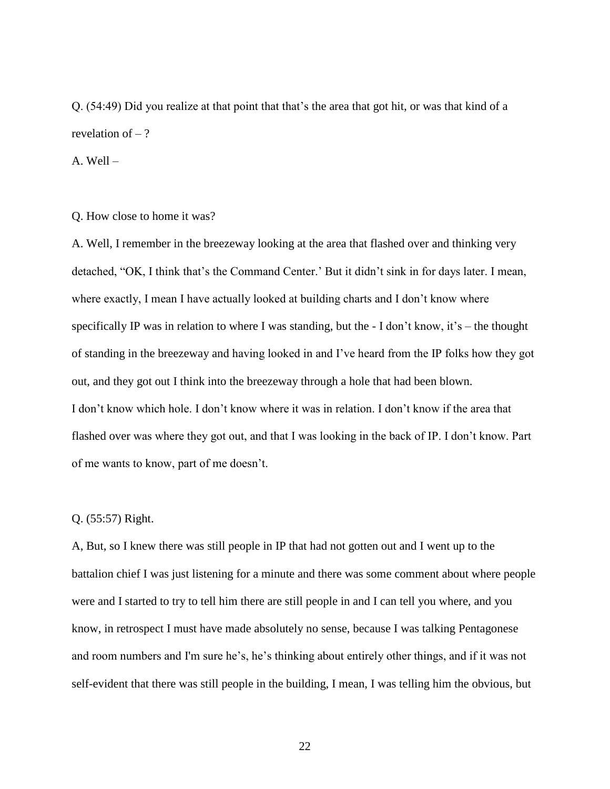Q. (54:49) Did you realize at that point that that's the area that got hit, or was that kind of a revelation of  $-$  ?

A. Well –

Q. How close to home it was?

A. Well, I remember in the breezeway looking at the area that flashed over and thinking very detached, "OK, I think that's the Command Center.' But it didn't sink in for days later. I mean, where exactly, I mean I have actually looked at building charts and I don't know where specifically IP was in relation to where I was standing, but the - I don't know, it's – the thought of standing in the breezeway and having looked in and I've heard from the IP folks how they got out, and they got out I think into the breezeway through a hole that had been blown. I don't know which hole. I don't know where it was in relation. I don't know if the area that flashed over was where they got out, and that I was looking in the back of IP. I don't know. Part of me wants to know, part of me doesn't.

## Q. (55:57) Right.

A, But, so I knew there was still people in IP that had not gotten out and I went up to the battalion chief I was just listening for a minute and there was some comment about where people were and I started to try to tell him there are still people in and I can tell you where, and you know, in retrospect I must have made absolutely no sense, because I was talking Pentagonese and room numbers and I'm sure he's, he's thinking about entirely other things, and if it was not self-evident that there was still people in the building, I mean, I was telling him the obvious, but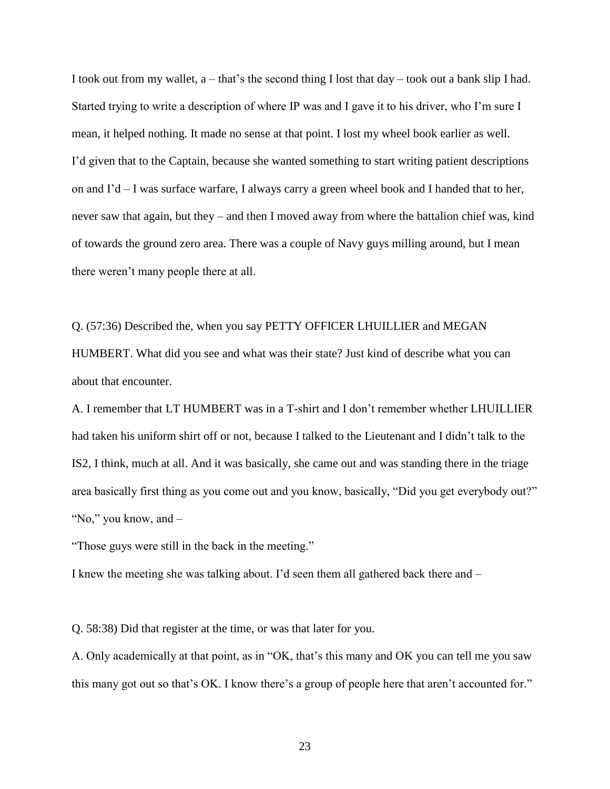I took out from my wallet,  $a - \text{that's the second thing I lost that day – took out a bank slip I had.}$ Started trying to write a description of where IP was and I gave it to his driver, who I'm sure I mean, it helped nothing. It made no sense at that point. I lost my wheel book earlier as well. I'd given that to the Captain, because she wanted something to start writing patient descriptions on and  $I'd - I$  was surface warfare, I always carry a green wheel book and I handed that to her, never saw that again, but they – and then I moved away from where the battalion chief was, kind of towards the ground zero area. There was a couple of Navy guys milling around, but I mean there weren't many people there at all.

Q. (57:36) Described the, when you say PETTY OFFICER LHUILLIER and MEGAN HUMBERT. What did you see and what was their state? Just kind of describe what you can about that encounter.

A. I remember that LT HUMBERT was in a T-shirt and I don't remember whether LHUILLIER had taken his uniform shirt off or not, because I talked to the Lieutenant and I didn't talk to the IS2, I think, much at all. And it was basically, she came out and was standing there in the triage area basically first thing as you come out and you know, basically, "Did you get everybody out?" "No," you know, and –

"Those guys were still in the back in the meeting."

I knew the meeting she was talking about. I'd seen them all gathered back there and –

Q. 58:38) Did that register at the time, or was that later for you.

A. Only academically at that point, as in "OK, that's this many and OK you can tell me you saw this many got out so that's OK. I know there's a group of people here that aren't accounted for."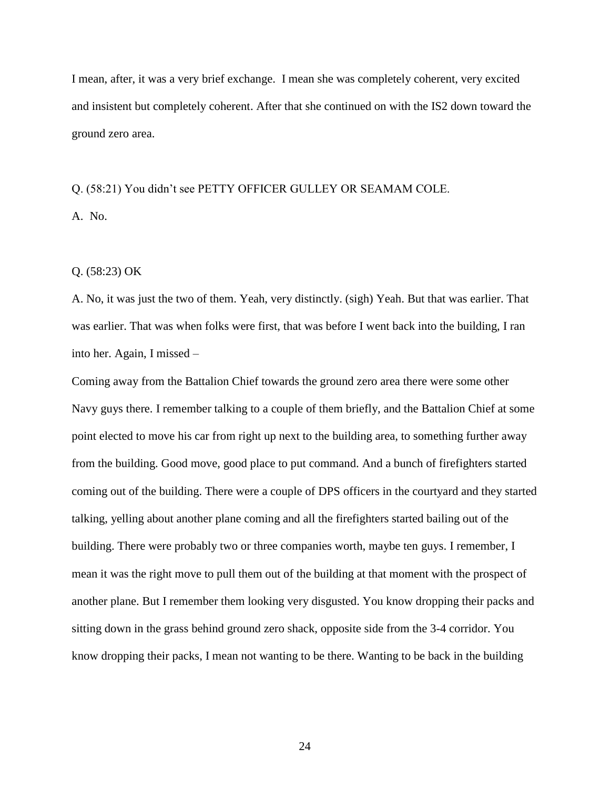I mean, after, it was a very brief exchange. I mean she was completely coherent, very excited and insistent but completely coherent. After that she continued on with the IS2 down toward the ground zero area.

# Q. (58:21) You didn't see PETTY OFFICER GULLEY OR SEAMAM COLE. A. No.

# Q. (58:23) OK

A. No, it was just the two of them. Yeah, very distinctly. (sigh) Yeah. But that was earlier. That was earlier. That was when folks were first, that was before I went back into the building, I ran into her. Again, I missed –

Coming away from the Battalion Chief towards the ground zero area there were some other Navy guys there. I remember talking to a couple of them briefly, and the Battalion Chief at some point elected to move his car from right up next to the building area, to something further away from the building. Good move, good place to put command. And a bunch of firefighters started coming out of the building. There were a couple of DPS officers in the courtyard and they started talking, yelling about another plane coming and all the firefighters started bailing out of the building. There were probably two or three companies worth, maybe ten guys. I remember, I mean it was the right move to pull them out of the building at that moment with the prospect of another plane. But I remember them looking very disgusted. You know dropping their packs and sitting down in the grass behind ground zero shack, opposite side from the 3-4 corridor. You know dropping their packs, I mean not wanting to be there. Wanting to be back in the building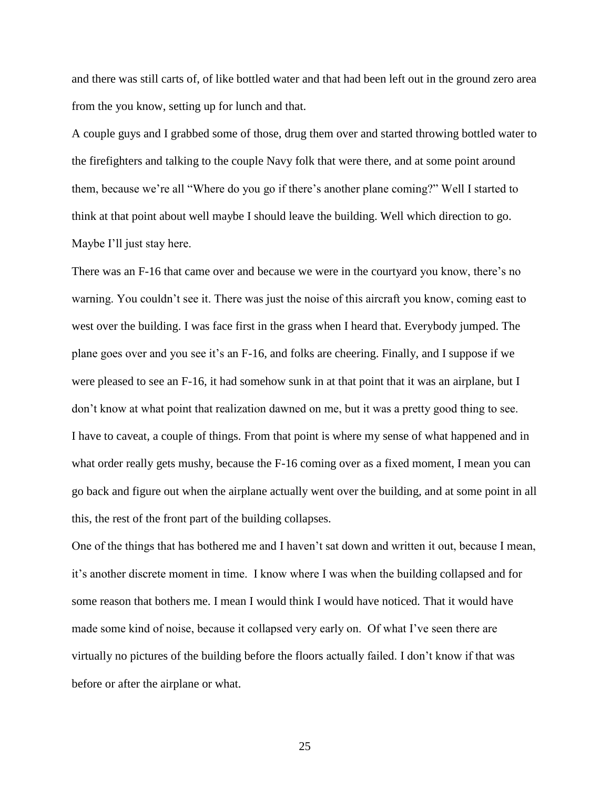and there was still carts of, of like bottled water and that had been left out in the ground zero area from the you know, setting up for lunch and that.

A couple guys and I grabbed some of those, drug them over and started throwing bottled water to the firefighters and talking to the couple Navy folk that were there, and at some point around them, because we're all "Where do you go if there's another plane coming?" Well I started to think at that point about well maybe I should leave the building. Well which direction to go. Maybe I'll just stay here.

There was an F-16 that came over and because we were in the courtyard you know, there's no warning. You couldn't see it. There was just the noise of this aircraft you know, coming east to west over the building. I was face first in the grass when I heard that. Everybody jumped. The plane goes over and you see it's an F-16, and folks are cheering. Finally, and I suppose if we were pleased to see an F-16, it had somehow sunk in at that point that it was an airplane, but I don't know at what point that realization dawned on me, but it was a pretty good thing to see. I have to caveat, a couple of things. From that point is where my sense of what happened and in what order really gets mushy, because the F-16 coming over as a fixed moment, I mean you can go back and figure out when the airplane actually went over the building, and at some point in all this, the rest of the front part of the building collapses.

One of the things that has bothered me and I haven't sat down and written it out, because I mean, it's another discrete moment in time. I know where I was when the building collapsed and for some reason that bothers me. I mean I would think I would have noticed. That it would have made some kind of noise, because it collapsed very early on. Of what I've seen there are virtually no pictures of the building before the floors actually failed. I don't know if that was before or after the airplane or what.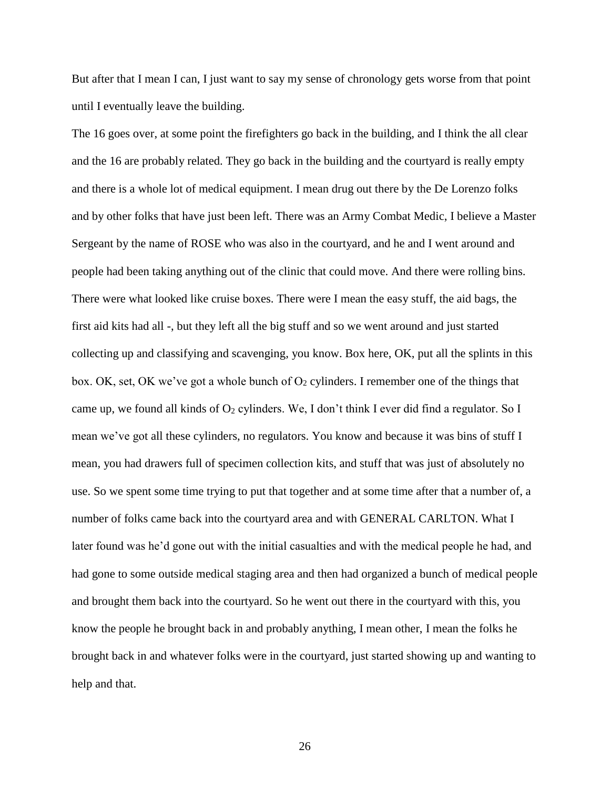But after that I mean I can, I just want to say my sense of chronology gets worse from that point until I eventually leave the building.

The 16 goes over, at some point the firefighters go back in the building, and I think the all clear and the 16 are probably related. They go back in the building and the courtyard is really empty and there is a whole lot of medical equipment. I mean drug out there by the De Lorenzo folks and by other folks that have just been left. There was an Army Combat Medic, I believe a Master Sergeant by the name of ROSE who was also in the courtyard, and he and I went around and people had been taking anything out of the clinic that could move. And there were rolling bins. There were what looked like cruise boxes. There were I mean the easy stuff, the aid bags, the first aid kits had all -, but they left all the big stuff and so we went around and just started collecting up and classifying and scavenging, you know. Box here, OK, put all the splints in this box. OK, set, OK we've got a whole bunch of  $O_2$  cylinders. I remember one of the things that came up, we found all kinds of  $O_2$  cylinders. We, I don't think I ever did find a regulator. So I mean we've got all these cylinders, no regulators. You know and because it was bins of stuff I mean, you had drawers full of specimen collection kits, and stuff that was just of absolutely no use. So we spent some time trying to put that together and at some time after that a number of, a number of folks came back into the courtyard area and with GENERAL CARLTON. What I later found was he'd gone out with the initial casualties and with the medical people he had, and had gone to some outside medical staging area and then had organized a bunch of medical people and brought them back into the courtyard. So he went out there in the courtyard with this, you know the people he brought back in and probably anything, I mean other, I mean the folks he brought back in and whatever folks were in the courtyard, just started showing up and wanting to help and that.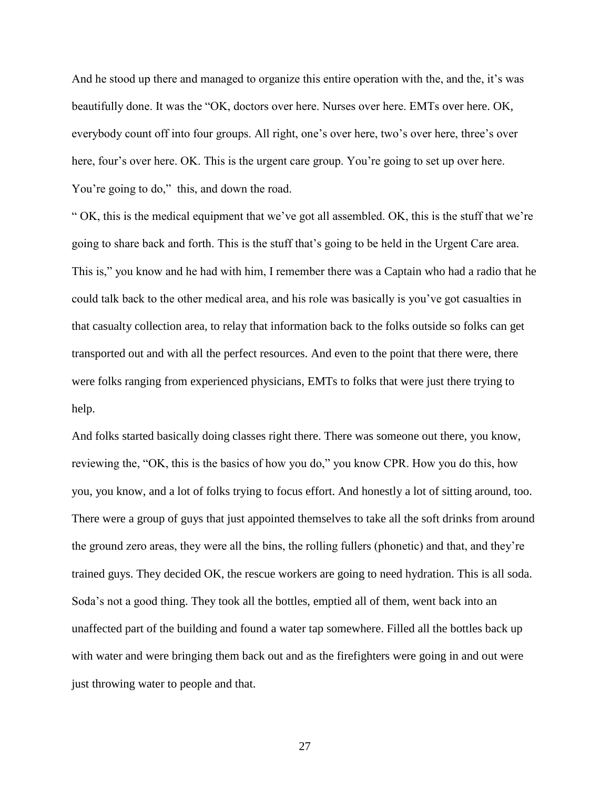And he stood up there and managed to organize this entire operation with the, and the, it's was beautifully done. It was the "OK, doctors over here. Nurses over here. EMTs over here. OK, everybody count off into four groups. All right, one's over here, two's over here, three's over here, four's over here. OK. This is the urgent care group. You're going to set up over here. You're going to do," this, and down the road.

" OK, this is the medical equipment that we've got all assembled. OK, this is the stuff that we're going to share back and forth. This is the stuff that's going to be held in the Urgent Care area. This is," you know and he had with him, I remember there was a Captain who had a radio that he could talk back to the other medical area, and his role was basically is you've got casualties in that casualty collection area, to relay that information back to the folks outside so folks can get transported out and with all the perfect resources. And even to the point that there were, there were folks ranging from experienced physicians, EMTs to folks that were just there trying to help.

And folks started basically doing classes right there. There was someone out there, you know, reviewing the, "OK, this is the basics of how you do," you know CPR. How you do this, how you, you know, and a lot of folks trying to focus effort. And honestly a lot of sitting around, too. There were a group of guys that just appointed themselves to take all the soft drinks from around the ground zero areas, they were all the bins, the rolling fullers (phonetic) and that, and they're trained guys. They decided OK, the rescue workers are going to need hydration. This is all soda. Soda's not a good thing. They took all the bottles, emptied all of them, went back into an unaffected part of the building and found a water tap somewhere. Filled all the bottles back up with water and were bringing them back out and as the firefighters were going in and out were just throwing water to people and that.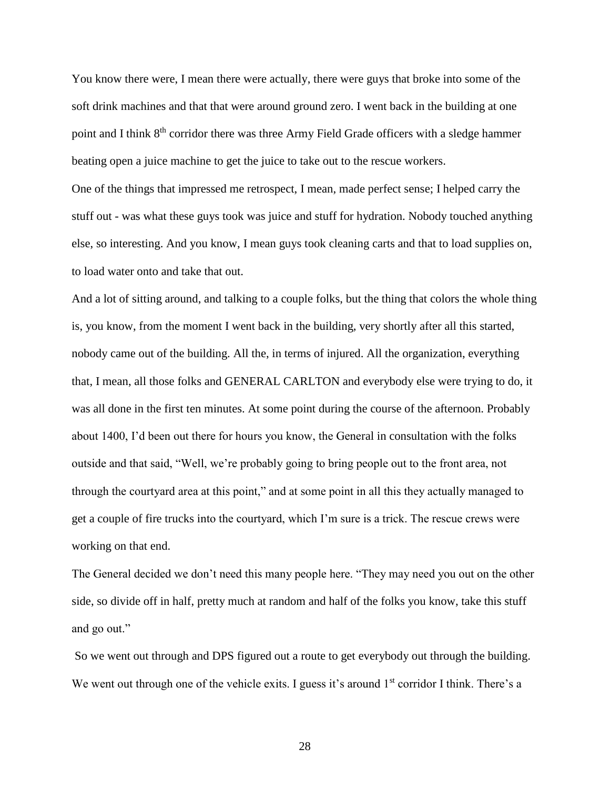You know there were, I mean there were actually, there were guys that broke into some of the soft drink machines and that that were around ground zero. I went back in the building at one point and I think 8<sup>th</sup> corridor there was three Army Field Grade officers with a sledge hammer beating open a juice machine to get the juice to take out to the rescue workers.

One of the things that impressed me retrospect, I mean, made perfect sense; I helped carry the stuff out - was what these guys took was juice and stuff for hydration. Nobody touched anything else, so interesting. And you know, I mean guys took cleaning carts and that to load supplies on, to load water onto and take that out.

And a lot of sitting around, and talking to a couple folks, but the thing that colors the whole thing is, you know, from the moment I went back in the building, very shortly after all this started, nobody came out of the building. All the, in terms of injured. All the organization, everything that, I mean, all those folks and GENERAL CARLTON and everybody else were trying to do, it was all done in the first ten minutes. At some point during the course of the afternoon. Probably about 1400, I'd been out there for hours you know, the General in consultation with the folks outside and that said, "Well, we're probably going to bring people out to the front area, not through the courtyard area at this point," and at some point in all this they actually managed to get a couple of fire trucks into the courtyard, which I'm sure is a trick. The rescue crews were working on that end.

The General decided we don't need this many people here. "They may need you out on the other side, so divide off in half, pretty much at random and half of the folks you know, take this stuff and go out."

So we went out through and DPS figured out a route to get everybody out through the building. We went out through one of the vehicle exits. I guess it's around  $1<sup>st</sup>$  corridor I think. There's a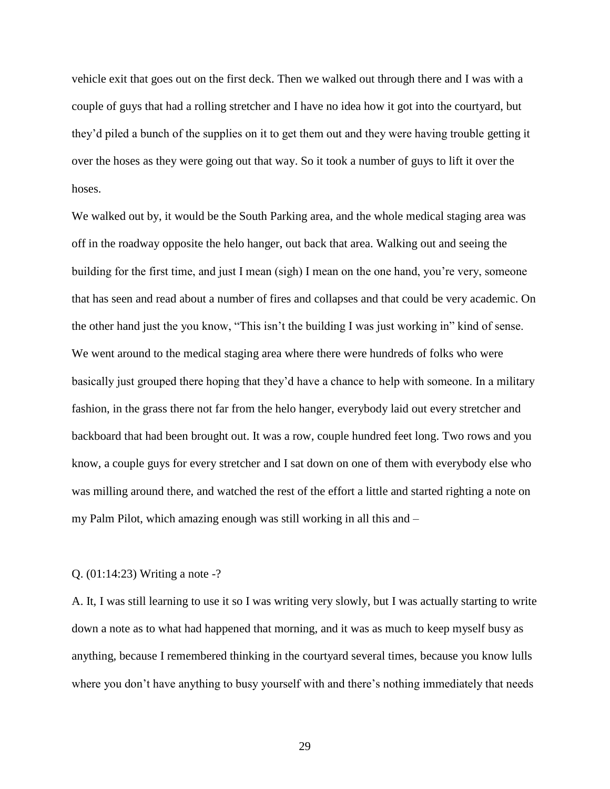vehicle exit that goes out on the first deck. Then we walked out through there and I was with a couple of guys that had a rolling stretcher and I have no idea how it got into the courtyard, but they'd piled a bunch of the supplies on it to get them out and they were having trouble getting it over the hoses as they were going out that way. So it took a number of guys to lift it over the hoses.

We walked out by, it would be the South Parking area, and the whole medical staging area was off in the roadway opposite the helo hanger, out back that area. Walking out and seeing the building for the first time, and just I mean (sigh) I mean on the one hand, you're very, someone that has seen and read about a number of fires and collapses and that could be very academic. On the other hand just the you know, "This isn't the building I was just working in" kind of sense. We went around to the medical staging area where there were hundreds of folks who were basically just grouped there hoping that they'd have a chance to help with someone. In a military fashion, in the grass there not far from the helo hanger, everybody laid out every stretcher and backboard that had been brought out. It was a row, couple hundred feet long. Two rows and you know, a couple guys for every stretcher and I sat down on one of them with everybody else who was milling around there, and watched the rest of the effort a little and started righting a note on my Palm Pilot, which amazing enough was still working in all this and –

#### Q. (01:14:23) Writing a note -?

A. It, I was still learning to use it so I was writing very slowly, but I was actually starting to write down a note as to what had happened that morning, and it was as much to keep myself busy as anything, because I remembered thinking in the courtyard several times, because you know lulls where you don't have anything to busy yourself with and there's nothing immediately that needs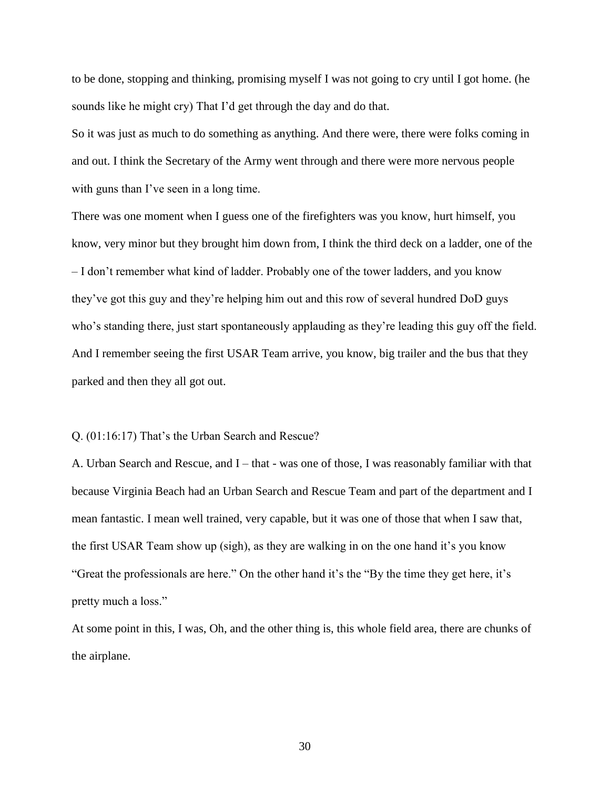to be done, stopping and thinking, promising myself I was not going to cry until I got home. (he sounds like he might cry) That I'd get through the day and do that.

So it was just as much to do something as anything. And there were, there were folks coming in and out. I think the Secretary of the Army went through and there were more nervous people with guns than I've seen in a long time.

There was one moment when I guess one of the firefighters was you know, hurt himself, you know, very minor but they brought him down from, I think the third deck on a ladder, one of the – I don't remember what kind of ladder. Probably one of the tower ladders, and you know they've got this guy and they're helping him out and this row of several hundred DoD guys who's standing there, just start spontaneously applauding as they're leading this guy off the field. And I remember seeing the first USAR Team arrive, you know, big trailer and the bus that they parked and then they all got out.

#### Q. (01:16:17) That's the Urban Search and Rescue?

A. Urban Search and Rescue, and I – that - was one of those, I was reasonably familiar with that because Virginia Beach had an Urban Search and Rescue Team and part of the department and I mean fantastic. I mean well trained, very capable, but it was one of those that when I saw that, the first USAR Team show up (sigh), as they are walking in on the one hand it's you know "Great the professionals are here." On the other hand it's the "By the time they get here, it's pretty much a loss."

At some point in this, I was, Oh, and the other thing is, this whole field area, there are chunks of the airplane.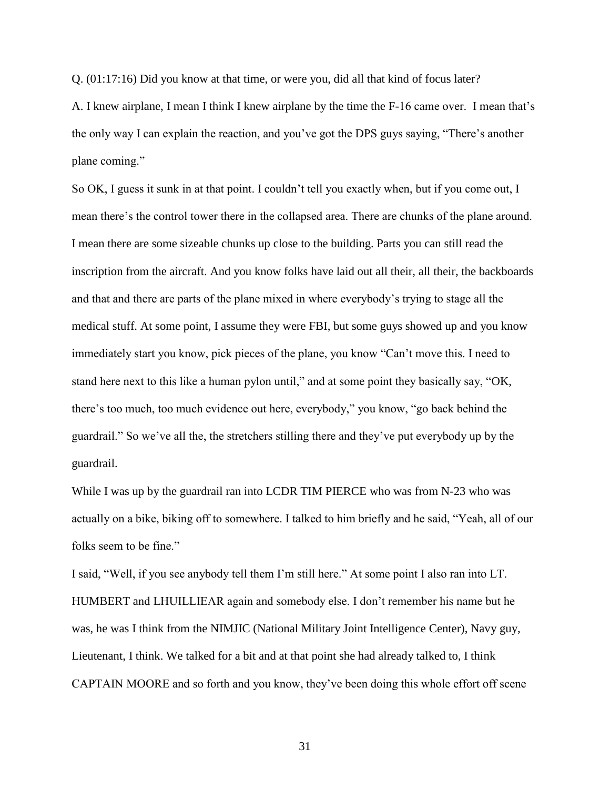Q. (01:17:16) Did you know at that time, or were you, did all that kind of focus later?

A. I knew airplane, I mean I think I knew airplane by the time the F-16 came over. I mean that's the only way I can explain the reaction, and you've got the DPS guys saying, "There's another plane coming."

So OK, I guess it sunk in at that point. I couldn't tell you exactly when, but if you come out, I mean there's the control tower there in the collapsed area. There are chunks of the plane around. I mean there are some sizeable chunks up close to the building. Parts you can still read the inscription from the aircraft. And you know folks have laid out all their, all their, the backboards and that and there are parts of the plane mixed in where everybody's trying to stage all the medical stuff. At some point, I assume they were FBI, but some guys showed up and you know immediately start you know, pick pieces of the plane, you know "Can't move this. I need to stand here next to this like a human pylon until," and at some point they basically say, "OK, there's too much, too much evidence out here, everybody," you know, "go back behind the guardrail." So we've all the, the stretchers stilling there and they've put everybody up by the guardrail.

While I was up by the guardrail ran into LCDR TIM PIERCE who was from N-23 who was actually on a bike, biking off to somewhere. I talked to him briefly and he said, "Yeah, all of our folks seem to be fine."

I said, "Well, if you see anybody tell them I'm still here." At some point I also ran into LT. HUMBERT and LHUILLIEAR again and somebody else. I don't remember his name but he was, he was I think from the NIMJIC (National Military Joint Intelligence Center), Navy guy, Lieutenant, I think. We talked for a bit and at that point she had already talked to, I think CAPTAIN MOORE and so forth and you know, they've been doing this whole effort off scene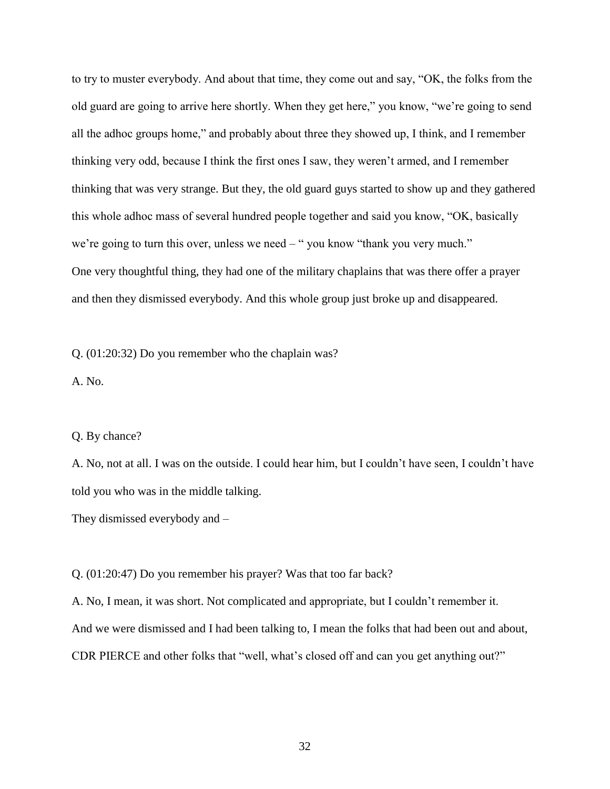to try to muster everybody. And about that time, they come out and say, "OK, the folks from the old guard are going to arrive here shortly. When they get here," you know, "we're going to send all the adhoc groups home," and probably about three they showed up, I think, and I remember thinking very odd, because I think the first ones I saw, they weren't armed, and I remember thinking that was very strange. But they, the old guard guys started to show up and they gathered this whole adhoc mass of several hundred people together and said you know, "OK, basically we're going to turn this over, unless we need – "you know "thank you very much." One very thoughtful thing, they had one of the military chaplains that was there offer a prayer and then they dismissed everybody. And this whole group just broke up and disappeared.

Q. (01:20:32) Do you remember who the chaplain was?

A. No.

#### Q. By chance?

A. No, not at all. I was on the outside. I could hear him, but I couldn't have seen, I couldn't have told you who was in the middle talking.

They dismissed everybody and –

Q. (01:20:47) Do you remember his prayer? Was that too far back?

A. No, I mean, it was short. Not complicated and appropriate, but I couldn't remember it. And we were dismissed and I had been talking to, I mean the folks that had been out and about, CDR PIERCE and other folks that "well, what's closed off and can you get anything out?"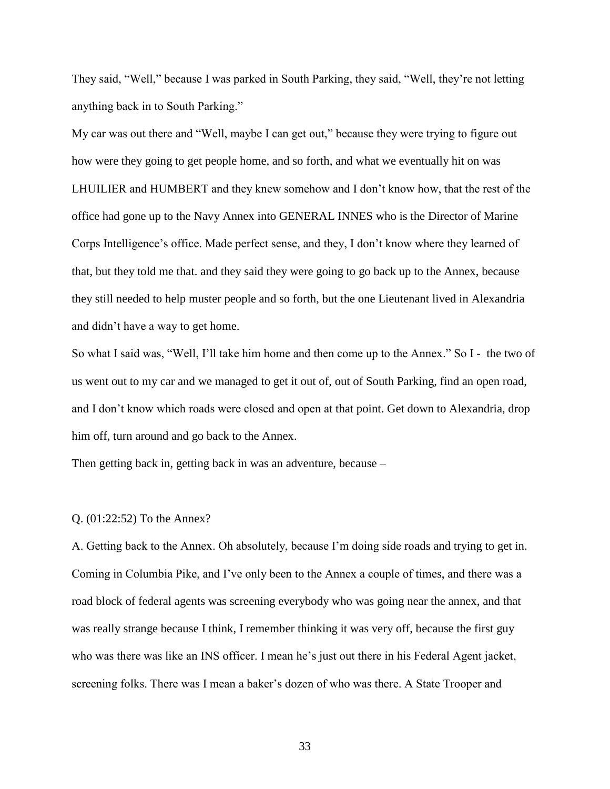They said, "Well," because I was parked in South Parking, they said, "Well, they're not letting anything back in to South Parking."

My car was out there and "Well, maybe I can get out," because they were trying to figure out how were they going to get people home, and so forth, and what we eventually hit on was LHUILIER and HUMBERT and they knew somehow and I don't know how, that the rest of the office had gone up to the Navy Annex into GENERAL INNES who is the Director of Marine Corps Intelligence's office. Made perfect sense, and they, I don't know where they learned of that, but they told me that. and they said they were going to go back up to the Annex, because they still needed to help muster people and so forth, but the one Lieutenant lived in Alexandria and didn't have a way to get home.

So what I said was, "Well, I'll take him home and then come up to the Annex." So I - the two of us went out to my car and we managed to get it out of, out of South Parking, find an open road, and I don't know which roads were closed and open at that point. Get down to Alexandria, drop him off, turn around and go back to the Annex.

Then getting back in, getting back in was an adventure, because –

#### Q. (01:22:52) To the Annex?

A. Getting back to the Annex. Oh absolutely, because I'm doing side roads and trying to get in. Coming in Columbia Pike, and I've only been to the Annex a couple of times, and there was a road block of federal agents was screening everybody who was going near the annex, and that was really strange because I think, I remember thinking it was very off, because the first guy who was there was like an INS officer. I mean he's just out there in his Federal Agent jacket, screening folks. There was I mean a baker's dozen of who was there. A State Trooper and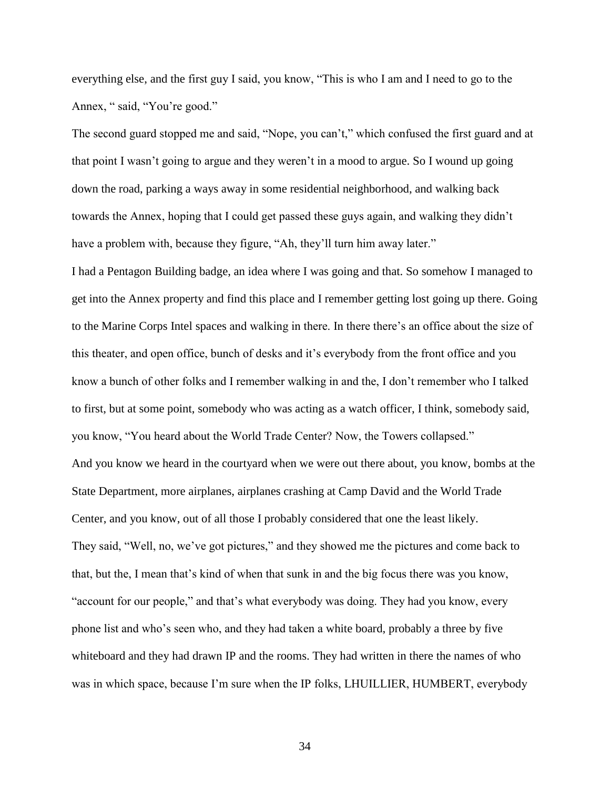everything else, and the first guy I said, you know, "This is who I am and I need to go to the Annex, " said, "You're good."

The second guard stopped me and said, "Nope, you can't," which confused the first guard and at that point I wasn't going to argue and they weren't in a mood to argue. So I wound up going down the road, parking a ways away in some residential neighborhood, and walking back towards the Annex, hoping that I could get passed these guys again, and walking they didn't have a problem with, because they figure, "Ah, they'll turn him away later."

I had a Pentagon Building badge, an idea where I was going and that. So somehow I managed to get into the Annex property and find this place and I remember getting lost going up there. Going to the Marine Corps Intel spaces and walking in there. In there there's an office about the size of this theater, and open office, bunch of desks and it's everybody from the front office and you know a bunch of other folks and I remember walking in and the, I don't remember who I talked to first, but at some point, somebody who was acting as a watch officer, I think, somebody said, you know, "You heard about the World Trade Center? Now, the Towers collapsed." And you know we heard in the courtyard when we were out there about, you know, bombs at the State Department, more airplanes, airplanes crashing at Camp David and the World Trade Center, and you know, out of all those I probably considered that one the least likely. They said, "Well, no, we've got pictures," and they showed me the pictures and come back to that, but the, I mean that's kind of when that sunk in and the big focus there was you know, "account for our people," and that's what everybody was doing. They had you know, every phone list and who's seen who, and they had taken a white board, probably a three by five whiteboard and they had drawn IP and the rooms. They had written in there the names of who was in which space, because I'm sure when the IP folks, LHUILLIER, HUMBERT, everybody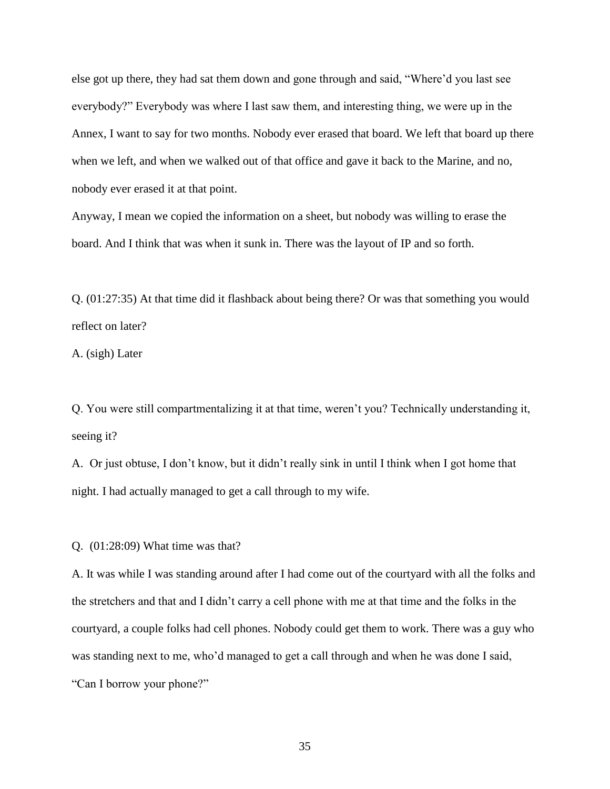else got up there, they had sat them down and gone through and said, "Where'd you last see everybody?" Everybody was where I last saw them, and interesting thing, we were up in the Annex, I want to say for two months. Nobody ever erased that board. We left that board up there when we left, and when we walked out of that office and gave it back to the Marine, and no, nobody ever erased it at that point.

Anyway, I mean we copied the information on a sheet, but nobody was willing to erase the board. And I think that was when it sunk in. There was the layout of IP and so forth.

Q. (01:27:35) At that time did it flashback about being there? Or was that something you would reflect on later?

A. (sigh) Later

Q. You were still compartmentalizing it at that time, weren't you? Technically understanding it, seeing it?

A. Or just obtuse, I don't know, but it didn't really sink in until I think when I got home that night. I had actually managed to get a call through to my wife.

Q. (01:28:09) What time was that?

A. It was while I was standing around after I had come out of the courtyard with all the folks and the stretchers and that and I didn't carry a cell phone with me at that time and the folks in the courtyard, a couple folks had cell phones. Nobody could get them to work. There was a guy who was standing next to me, who'd managed to get a call through and when he was done I said, "Can I borrow your phone?"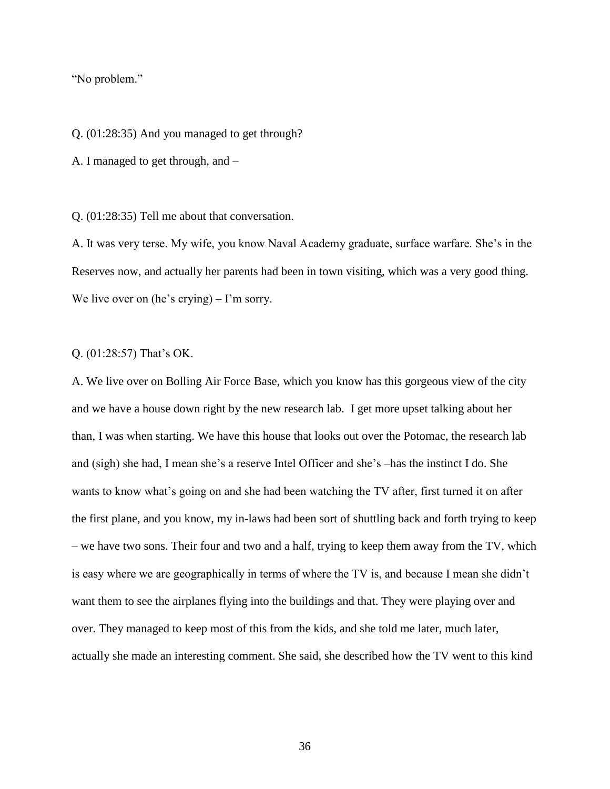"No problem."

Q. (01:28:35) And you managed to get through?

A. I managed to get through, and –

Q. (01:28:35) Tell me about that conversation.

A. It was very terse. My wife, you know Naval Academy graduate, surface warfare. She's in the Reserves now, and actually her parents had been in town visiting, which was a very good thing. We live over on (he's crying) – I'm sorry.

Q. (01:28:57) That's OK.

A. We live over on Bolling Air Force Base, which you know has this gorgeous view of the city and we have a house down right by the new research lab. I get more upset talking about her than, I was when starting. We have this house that looks out over the Potomac, the research lab and (sigh) she had, I mean she's a reserve Intel Officer and she's –has the instinct I do. She wants to know what's going on and she had been watching the TV after, first turned it on after the first plane, and you know, my in-laws had been sort of shuttling back and forth trying to keep – we have two sons. Their four and two and a half, trying to keep them away from the TV, which is easy where we are geographically in terms of where the TV is, and because I mean she didn't want them to see the airplanes flying into the buildings and that. They were playing over and over. They managed to keep most of this from the kids, and she told me later, much later, actually she made an interesting comment. She said, she described how the TV went to this kind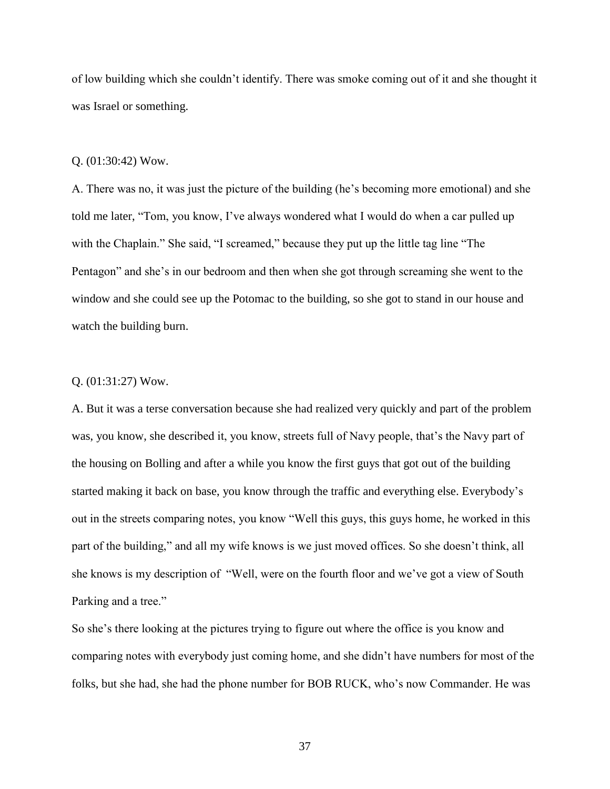of low building which she couldn't identify. There was smoke coming out of it and she thought it was Israel or something.

#### Q. (01:30:42) Wow.

A. There was no, it was just the picture of the building (he's becoming more emotional) and she told me later, "Tom, you know, I've always wondered what I would do when a car pulled up with the Chaplain." She said, "I screamed," because they put up the little tag line "The Pentagon" and she's in our bedroom and then when she got through screaming she went to the window and she could see up the Potomac to the building, so she got to stand in our house and watch the building burn.

## Q. (01:31:27) Wow.

A. But it was a terse conversation because she had realized very quickly and part of the problem was, you know, she described it, you know, streets full of Navy people, that's the Navy part of the housing on Bolling and after a while you know the first guys that got out of the building started making it back on base, you know through the traffic and everything else. Everybody's out in the streets comparing notes, you know "Well this guys, this guys home, he worked in this part of the building," and all my wife knows is we just moved offices. So she doesn't think, all she knows is my description of "Well, were on the fourth floor and we've got a view of South Parking and a tree."

So she's there looking at the pictures trying to figure out where the office is you know and comparing notes with everybody just coming home, and she didn't have numbers for most of the folks, but she had, she had the phone number for BOB RUCK, who's now Commander. He was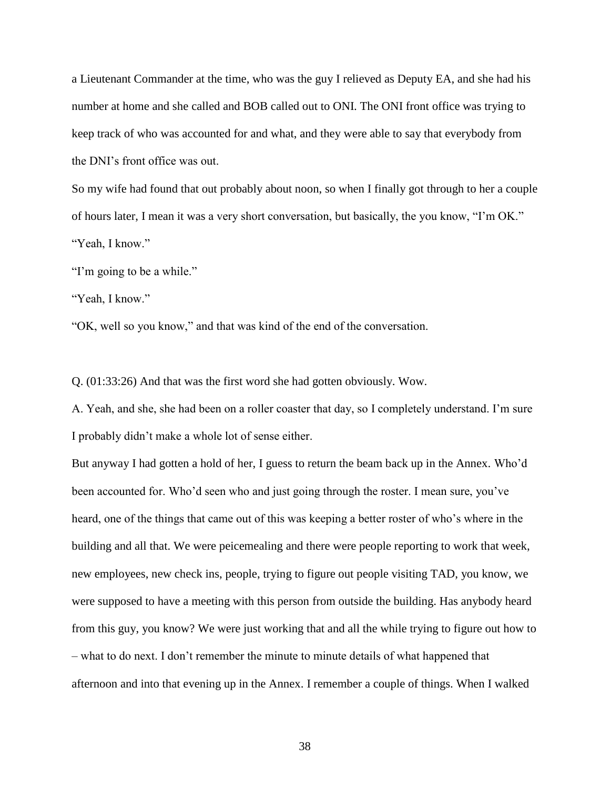a Lieutenant Commander at the time, who was the guy I relieved as Deputy EA, and she had his number at home and she called and BOB called out to ONI. The ONI front office was trying to keep track of who was accounted for and what, and they were able to say that everybody from the DNI's front office was out.

So my wife had found that out probably about noon, so when I finally got through to her a couple of hours later, I mean it was a very short conversation, but basically, the you know, "I'm OK." "Yeah, I know."

"I'm going to be a while."

"Yeah, I know."

"OK, well so you know," and that was kind of the end of the conversation.

Q. (01:33:26) And that was the first word she had gotten obviously. Wow.

A. Yeah, and she, she had been on a roller coaster that day, so I completely understand. I'm sure I probably didn't make a whole lot of sense either.

But anyway I had gotten a hold of her, I guess to return the beam back up in the Annex. Who'd been accounted for. Who'd seen who and just going through the roster. I mean sure, you've heard, one of the things that came out of this was keeping a better roster of who's where in the building and all that. We were peicemealing and there were people reporting to work that week, new employees, new check ins, people, trying to figure out people visiting TAD, you know, we were supposed to have a meeting with this person from outside the building. Has anybody heard from this guy, you know? We were just working that and all the while trying to figure out how to – what to do next. I don't remember the minute to minute details of what happened that afternoon and into that evening up in the Annex. I remember a couple of things. When I walked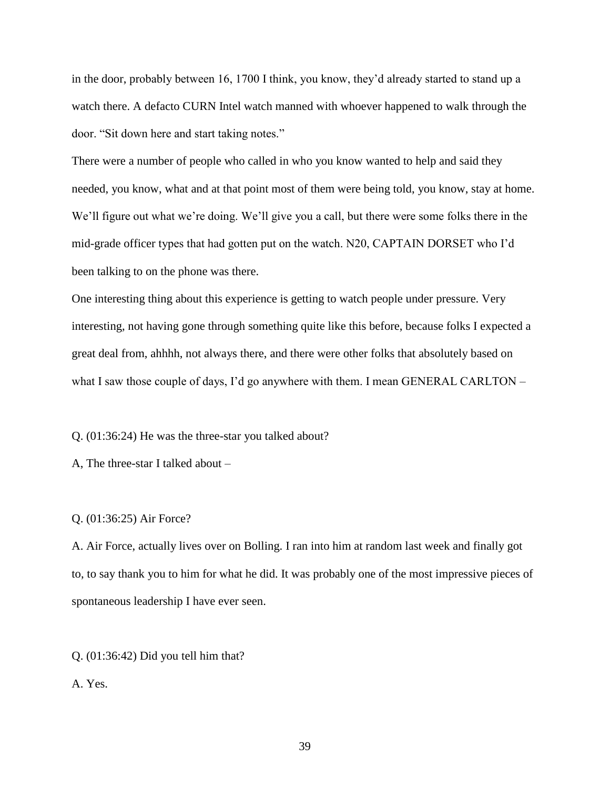in the door, probably between 16, 1700 I think, you know, they'd already started to stand up a watch there. A defacto CURN Intel watch manned with whoever happened to walk through the door. "Sit down here and start taking notes."

There were a number of people who called in who you know wanted to help and said they needed, you know, what and at that point most of them were being told, you know, stay at home. We'll figure out what we're doing. We'll give you a call, but there were some folks there in the mid-grade officer types that had gotten put on the watch. N20, CAPTAIN DORSET who I'd been talking to on the phone was there.

One interesting thing about this experience is getting to watch people under pressure. Very interesting, not having gone through something quite like this before, because folks I expected a great deal from, ahhhh, not always there, and there were other folks that absolutely based on what I saw those couple of days, I'd go anywhere with them. I mean GENERAL CARLTON –

Q. (01:36:24) He was the three-star you talked about?

A, The three-star I talked about –

#### Q. (01:36:25) Air Force?

A. Air Force, actually lives over on Bolling. I ran into him at random last week and finally got to, to say thank you to him for what he did. It was probably one of the most impressive pieces of spontaneous leadership I have ever seen.

Q. (01:36:42) Did you tell him that?

A. Yes.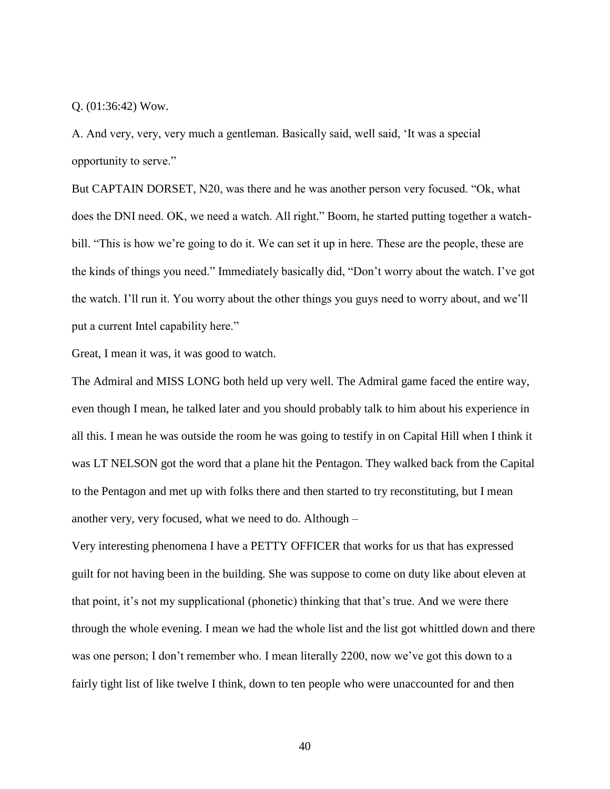Q. (01:36:42) Wow.

A. And very, very, very much a gentleman. Basically said, well said, 'It was a special opportunity to serve."

But CAPTAIN DORSET, N20, was there and he was another person very focused. "Ok, what does the DNI need. OK, we need a watch. All right." Boom, he started putting together a watchbill. "This is how we're going to do it. We can set it up in here. These are the people, these are the kinds of things you need." Immediately basically did, "Don't worry about the watch. I've got the watch. I'll run it. You worry about the other things you guys need to worry about, and we'll put a current Intel capability here."

Great, I mean it was, it was good to watch.

The Admiral and MISS LONG both held up very well. The Admiral game faced the entire way, even though I mean, he talked later and you should probably talk to him about his experience in all this. I mean he was outside the room he was going to testify in on Capital Hill when I think it was LT NELSON got the word that a plane hit the Pentagon. They walked back from the Capital to the Pentagon and met up with folks there and then started to try reconstituting, but I mean another very, very focused, what we need to do. Although –

Very interesting phenomena I have a PETTY OFFICER that works for us that has expressed guilt for not having been in the building. She was suppose to come on duty like about eleven at that point, it's not my supplicational (phonetic) thinking that that's true. And we were there through the whole evening. I mean we had the whole list and the list got whittled down and there was one person; I don't remember who. I mean literally 2200, now we've got this down to a fairly tight list of like twelve I think, down to ten people who were unaccounted for and then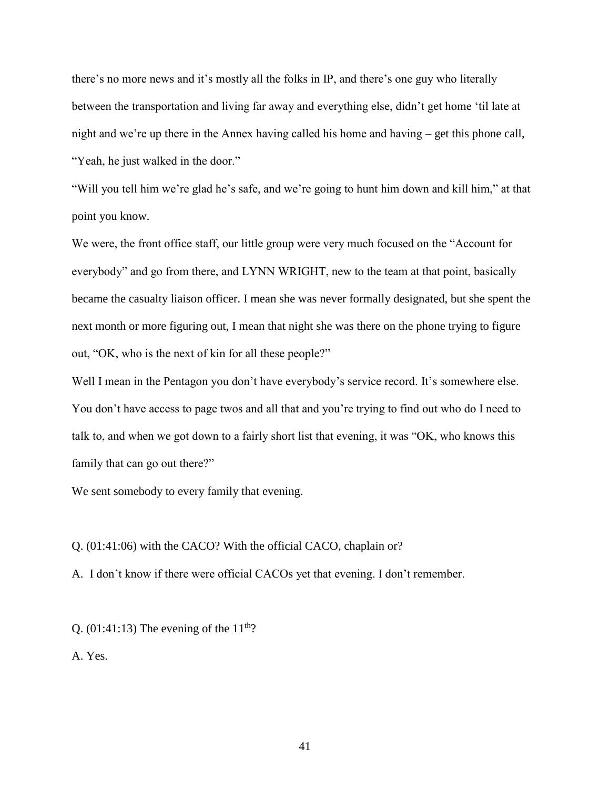there's no more news and it's mostly all the folks in IP, and there's one guy who literally between the transportation and living far away and everything else, didn't get home 'til late at night and we're up there in the Annex having called his home and having – get this phone call, "Yeah, he just walked in the door."

"Will you tell him we're glad he's safe, and we're going to hunt him down and kill him," at that point you know.

We were, the front office staff, our little group were very much focused on the "Account for everybody" and go from there, and LYNN WRIGHT, new to the team at that point, basically became the casualty liaison officer. I mean she was never formally designated, but she spent the next month or more figuring out, I mean that night she was there on the phone trying to figure out, "OK, who is the next of kin for all these people?"

Well I mean in the Pentagon you don't have everybody's service record. It's somewhere else. You don't have access to page twos and all that and you're trying to find out who do I need to talk to, and when we got down to a fairly short list that evening, it was "OK, who knows this family that can go out there?"

We sent somebody to every family that evening.

Q. (01:41:06) with the CACO? With the official CACO, chaplain or?

A. I don't know if there were official CACOs yet that evening. I don't remember.

Q. (01:41:13) The evening of the  $11<sup>th</sup>$ ?

A. Yes.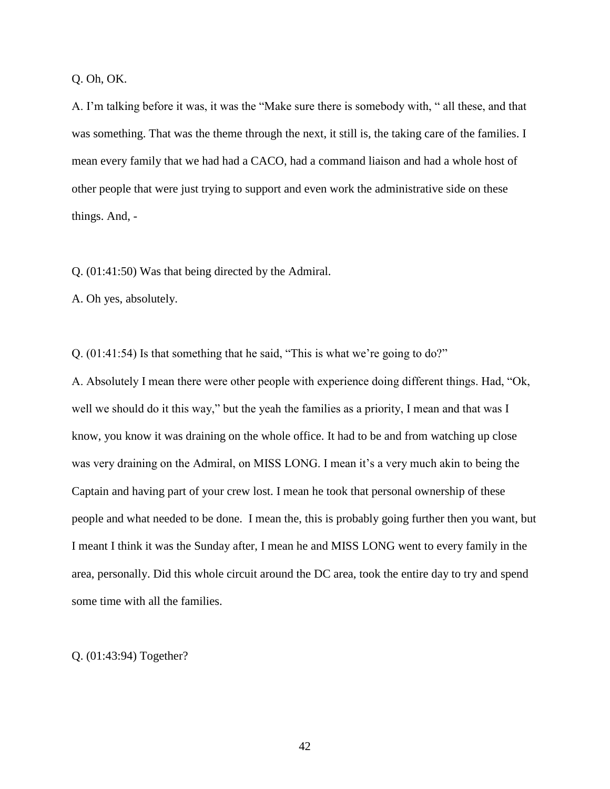Q. Oh, OK.

A. I'm talking before it was, it was the "Make sure there is somebody with, " all these, and that was something. That was the theme through the next, it still is, the taking care of the families. I mean every family that we had had a CACO, had a command liaison and had a whole host of other people that were just trying to support and even work the administrative side on these things. And, -

Q. (01:41:50) Was that being directed by the Admiral.

A. Oh yes, absolutely.

Q. (01:41:54) Is that something that he said, "This is what we're going to do?" A. Absolutely I mean there were other people with experience doing different things. Had, "Ok, well we should do it this way," but the yeah the families as a priority, I mean and that was I know, you know it was draining on the whole office. It had to be and from watching up close was very draining on the Admiral, on MISS LONG. I mean it's a very much akin to being the Captain and having part of your crew lost. I mean he took that personal ownership of these people and what needed to be done. I mean the, this is probably going further then you want, but I meant I think it was the Sunday after, I mean he and MISS LONG went to every family in the area, personally. Did this whole circuit around the DC area, took the entire day to try and spend some time with all the families.

Q. (01:43:94) Together?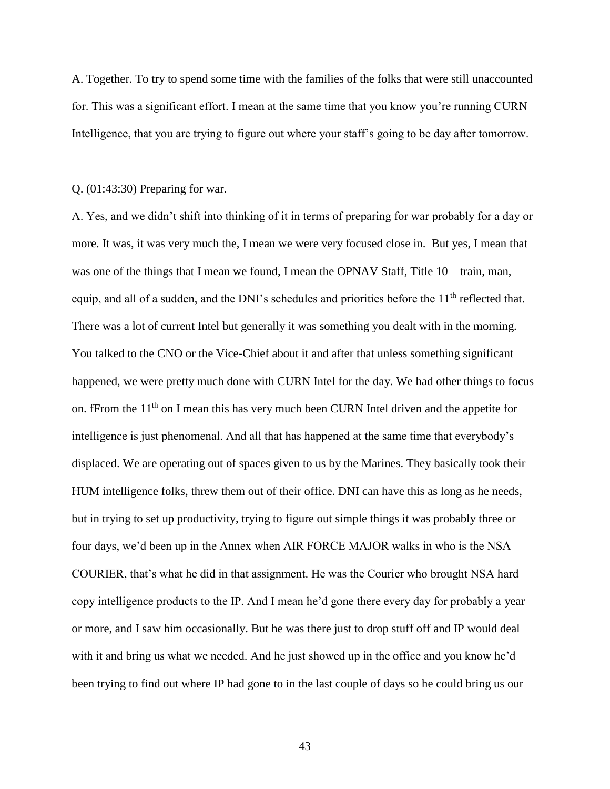A. Together. To try to spend some time with the families of the folks that were still unaccounted for. This was a significant effort. I mean at the same time that you know you're running CURN Intelligence, that you are trying to figure out where your staff's going to be day after tomorrow.

#### Q. (01:43:30) Preparing for war.

A. Yes, and we didn't shift into thinking of it in terms of preparing for war probably for a day or more. It was, it was very much the, I mean we were very focused close in. But yes, I mean that was one of the things that I mean we found, I mean the OPNAV Staff, Title 10 – train, man, equip, and all of a sudden, and the DNI's schedules and priorities before the  $11<sup>th</sup>$  reflected that. There was a lot of current Intel but generally it was something you dealt with in the morning. You talked to the CNO or the Vice-Chief about it and after that unless something significant happened, we were pretty much done with CURN Intel for the day. We had other things to focus on. fFrom the 11<sup>th</sup> on I mean this has very much been CURN Intel driven and the appetite for intelligence is just phenomenal. And all that has happened at the same time that everybody's displaced. We are operating out of spaces given to us by the Marines. They basically took their HUM intelligence folks, threw them out of their office. DNI can have this as long as he needs, but in trying to set up productivity, trying to figure out simple things it was probably three or four days, we'd been up in the Annex when AIR FORCE MAJOR walks in who is the NSA COURIER, that's what he did in that assignment. He was the Courier who brought NSA hard copy intelligence products to the IP. And I mean he'd gone there every day for probably a year or more, and I saw him occasionally. But he was there just to drop stuff off and IP would deal with it and bring us what we needed. And he just showed up in the office and you know he'd been trying to find out where IP had gone to in the last couple of days so he could bring us our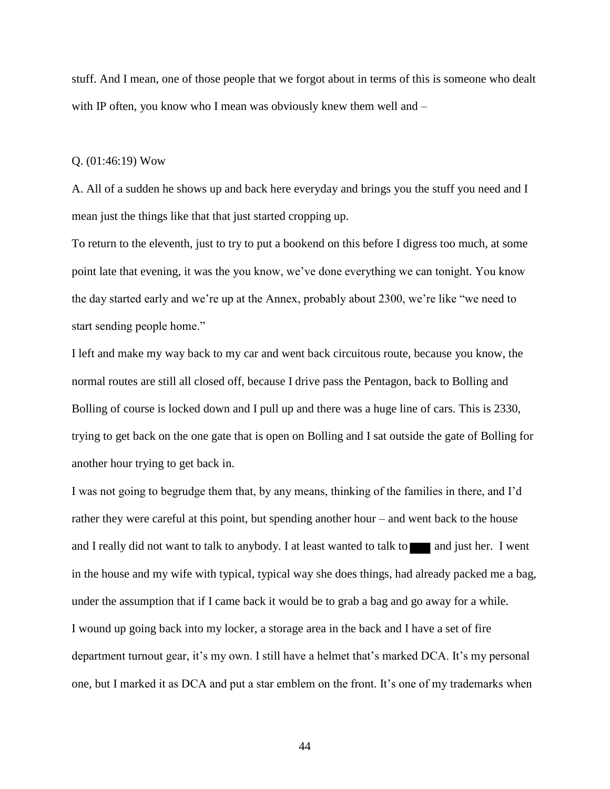stuff. And I mean, one of those people that we forgot about in terms of this is someone who dealt with IP often, you know who I mean was obviously knew them well and –

#### Q. (01:46:19) Wow

A. All of a sudden he shows up and back here everyday and brings you the stuff you need and I mean just the things like that that just started cropping up.

To return to the eleventh, just to try to put a bookend on this before I digress too much, at some point late that evening, it was the you know, we've done everything we can tonight. You know the day started early and we're up at the Annex, probably about 2300, we're like "we need to start sending people home."

I left and make my way back to my car and went back circuitous route, because you know, the normal routes are still all closed off, because I drive pass the Pentagon, back to Bolling and Bolling of course is locked down and I pull up and there was a huge line of cars. This is 2330, trying to get back on the one gate that is open on Bolling and I sat outside the gate of Bolling for another hour trying to get back in.

I was not going to begrudge them that, by any means, thinking of the families in there, and I'd rather they were careful at this point, but spending another hour – and went back to the house and I really did not want to talk to any body. I at least wanted to talk to and just her. I went in the house and my wife with typical, typical way she does things, had already packed me a bag, under the assumption that if I came back it would be to grab a bag and go away for a while. I wound up going back into my locker, a storage area in the back and I have a set of fire department turnout gear, it's my own. I still have a helmet that's marked DCA. It's my personal one, but I marked it as DCA and put a star emblem on the front. It's one of my trademarks when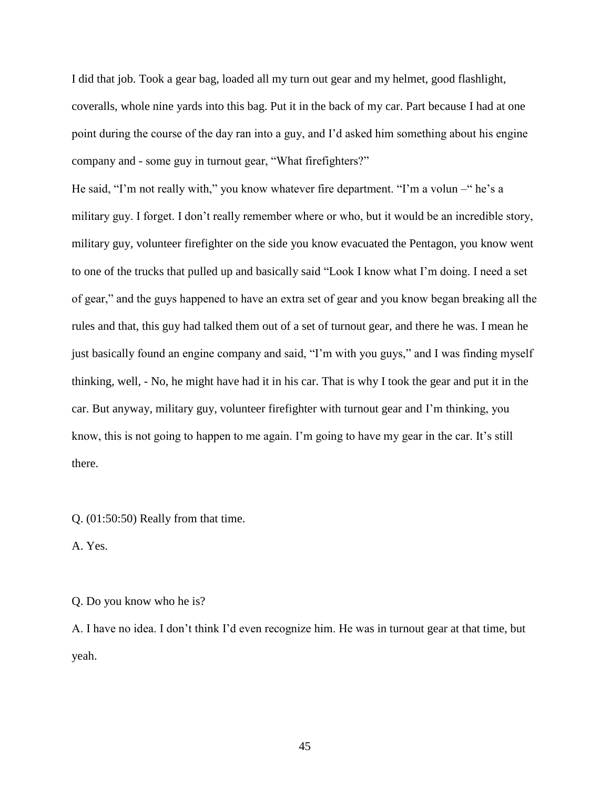I did that job. Took a gear bag, loaded all my turn out gear and my helmet, good flashlight, coveralls, whole nine yards into this bag. Put it in the back of my car. Part because I had at one point during the course of the day ran into a guy, and I'd asked him something about his engine company and - some guy in turnout gear, "What firefighters?"

He said, "I'm not really with," you know whatever fire department. "I'm a volun –" he's a military guy. I forget. I don't really remember where or who, but it would be an incredible story, military guy, volunteer firefighter on the side you know evacuated the Pentagon, you know went to one of the trucks that pulled up and basically said "Look I know what I'm doing. I need a set of gear," and the guys happened to have an extra set of gear and you know began breaking all the rules and that, this guy had talked them out of a set of turnout gear, and there he was. I mean he just basically found an engine company and said, "I'm with you guys," and I was finding myself thinking, well, - No, he might have had it in his car. That is why I took the gear and put it in the car. But anyway, military guy, volunteer firefighter with turnout gear and I'm thinking, you know, this is not going to happen to me again. I'm going to have my gear in the car. It's still there.

Q. (01:50:50) Really from that time.

A. Yes.

Q. Do you know who he is?

A. I have no idea. I don't think I'd even recognize him. He was in turnout gear at that time, but yeah.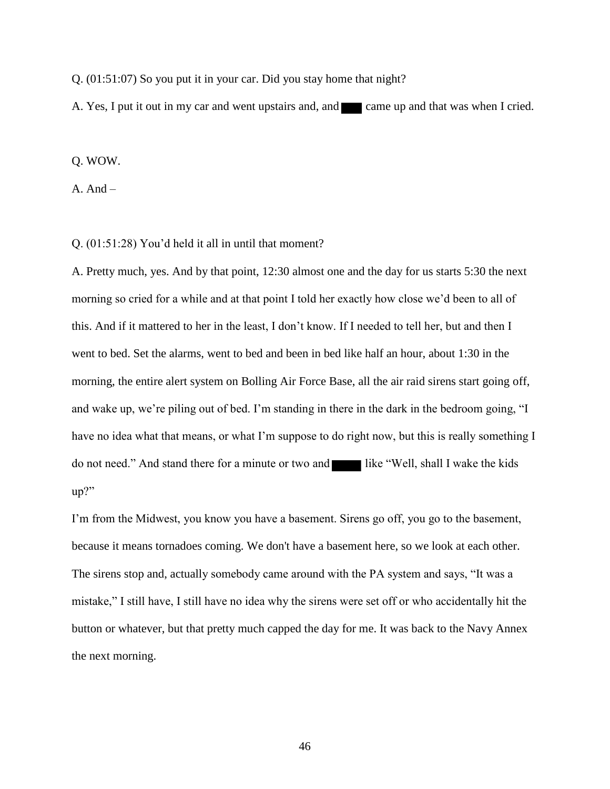Q. (01:51:07) So you put it in your car. Did you stay home that night?

A. Yes, I put it out in my car and went upstairs and, and came up and that was when I cried.

#### Q. WOW.

 $A. And -$ 

#### Q. (01:51:28) You'd held it all in until that moment?

A. Pretty much, yes. And by that point, 12:30 almost one and the day for us starts 5:30 the next morning so cried for a while and at that point I told her exactly how close we'd been to all of this. And if it mattered to her in the least, I don't know. If I needed to tell her, but and then I went to bed. Set the alarms, went to bed and been in bed like half an hour, about 1:30 in the morning, the entire alert system on Bolling Air Force Base, all the air raid sirens start going off, and wake up, we're piling out of bed. I'm standing in there in the dark in the bedroom going, "I have no idea what that means, or what I'm suppose to do right now, but this is really something I do not need." And stand there for a minute or two and like "Well, shall I wake the kids up?"

I'm from the Midwest, you know you have a basement. Sirens go off, you go to the basement, because it means tornadoes coming. We don't have a basement here, so we look at each other. The sirens stop and, actually somebody came around with the PA system and says, "It was a mistake," I still have, I still have no idea why the sirens were set off or who accidentally hit the button or whatever, but that pretty much capped the day for me. It was back to the Navy Annex the next morning.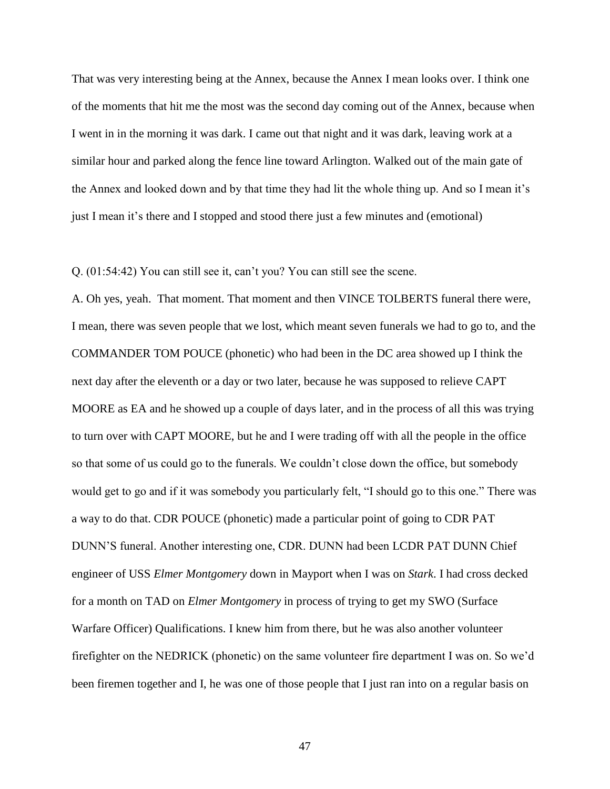That was very interesting being at the Annex, because the Annex I mean looks over. I think one of the moments that hit me the most was the second day coming out of the Annex, because when I went in in the morning it was dark. I came out that night and it was dark, leaving work at a similar hour and parked along the fence line toward Arlington. Walked out of the main gate of the Annex and looked down and by that time they had lit the whole thing up. And so I mean it's just I mean it's there and I stopped and stood there just a few minutes and (emotional)

Q. (01:54:42) You can still see it, can't you? You can still see the scene.

A. Oh yes, yeah. That moment. That moment and then VINCE TOLBERTS funeral there were, I mean, there was seven people that we lost, which meant seven funerals we had to go to, and the COMMANDER TOM POUCE (phonetic) who had been in the DC area showed up I think the next day after the eleventh or a day or two later, because he was supposed to relieve CAPT MOORE as EA and he showed up a couple of days later, and in the process of all this was trying to turn over with CAPT MOORE, but he and I were trading off with all the people in the office so that some of us could go to the funerals. We couldn't close down the office, but somebody would get to go and if it was somebody you particularly felt, "I should go to this one." There was a way to do that. CDR POUCE (phonetic) made a particular point of going to CDR PAT DUNN'S funeral. Another interesting one, CDR. DUNN had been LCDR PAT DUNN Chief engineer of USS *Elmer Montgomery* down in Mayport when I was on *Stark*. I had cross decked for a month on TAD on *Elmer Montgomery* in process of trying to get my SWO (Surface Warfare Officer) Qualifications. I knew him from there, but he was also another volunteer firefighter on the NEDRICK (phonetic) on the same volunteer fire department I was on. So we'd been firemen together and I, he was one of those people that I just ran into on a regular basis on